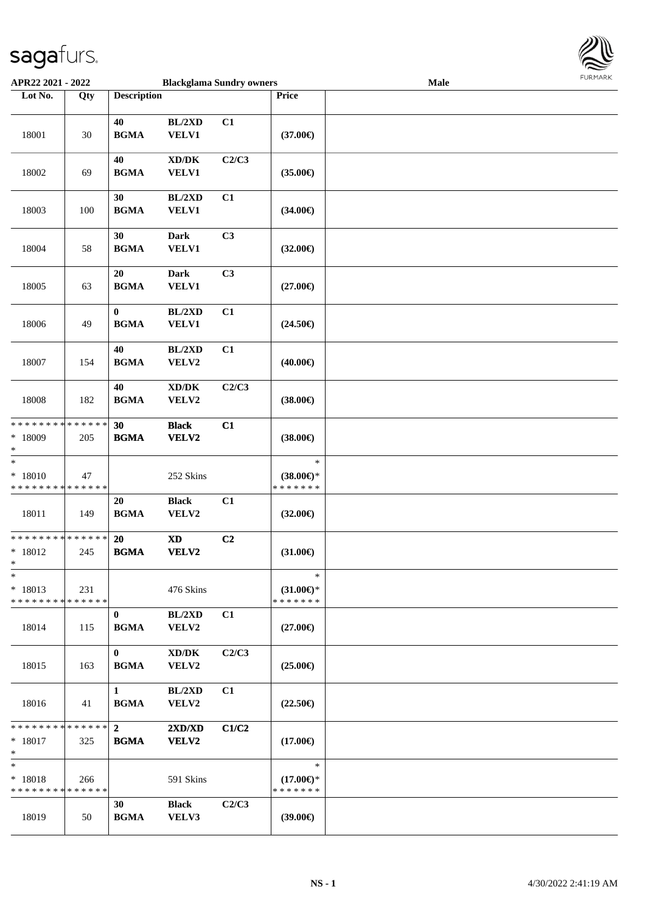

| APR22 2021 - 2022                                  |        |                                 | <b>Blackglama Sundry owners</b>              |                |                                                | Male | FURITARR |
|----------------------------------------------------|--------|---------------------------------|----------------------------------------------|----------------|------------------------------------------------|------|----------|
| Lot No.                                            | Qty    | <b>Description</b>              |                                              |                | Price                                          |      |          |
| 18001                                              | $30\,$ | 40<br><b>BGMA</b>               | BL/2XD<br>VELV1                              | C1             | $(37.00\epsilon)$                              |      |          |
| 18002                                              | 69     | 40<br><b>BGMA</b>               | $\bold{X}\bold{D}/\bold{D}\bold{K}$<br>VELV1 | C2/C3          | $(35.00\epsilon)$                              |      |          |
| 18003                                              | 100    | 30<br><b>BGMA</b>               | BL/2XD<br><b>VELV1</b>                       | C1             | $(34.00\epsilon)$                              |      |          |
| 18004                                              | 58     | 30<br><b>BGMA</b>               | <b>Dark</b><br><b>VELV1</b>                  | C3             | $(32.00\epsilon)$                              |      |          |
| 18005                                              | 63     | 20<br><b>BGMA</b>               | <b>Dark</b><br><b>VELV1</b>                  | C3             | $(27.00\epsilon)$                              |      |          |
| 18006                                              | 49     | $\boldsymbol{0}$<br><b>BGMA</b> | BL/2XD<br>VELV1                              | C1             | $(24.50\epsilon)$                              |      |          |
| 18007                                              | 154    | 40<br><b>BGMA</b>               | BL/2XD<br>VELV2                              | C1             | $(40.00\epsilon)$                              |      |          |
| 18008                                              | 182    | 40<br><b>BGMA</b>               | XD/DK<br>VELV2                               | C2/C3          | $(38.00\epsilon)$                              |      |          |
| **************<br>* 18009<br>$\ast$                | 205    | 30<br><b>BGMA</b>               | <b>Black</b><br>VELV2                        | C1             | $(38.00\epsilon)$                              |      |          |
| $\ast$<br>$* 18010$<br>* * * * * * * * * * * * * * | 47     |                                 | 252 Skins                                    |                | $\ast$<br>$(38.00\epsilon)$ *<br>* * * * * * * |      |          |
| 18011                                              | 149    | 20<br><b>BGMA</b>               | <b>Black</b><br>VELV2                        | C1             | $(32.00\epsilon)$                              |      |          |
| * * * * * * * * * * * * * *<br>$* 18012$<br>ski i  | 245    | 20<br><b>BGMA</b>               | $\boldsymbol{\mathrm{XD}}$<br>VELV2          | C <sub>2</sub> | $(31.00\epsilon)$                              |      |          |
| $\ast$<br>$* 18013$<br>* * * * * * * * * * * * * * | 231    |                                 | 476 Skins                                    |                | $\ast$<br>$(31.00\epsilon)$ *<br>* * * * * * * |      |          |
| 18014                                              | 115    | $\bf{0}$<br><b>BGMA</b>         | BL/2XD<br>VELV2                              | C1             | $(27.00\epsilon)$                              |      |          |
| 18015                                              | 163    | $\bf{0}$<br><b>BGMA</b>         | $\bold{X}\bold{D}/\bold{D}\bold{K}$<br>VELV2 | C2/C3          | $(25.00\epsilon)$                              |      |          |
| 18016                                              | 41     | $\mathbf{1}$<br><b>BGMA</b>     | BL/2XD<br>VELV2                              | C1             | $(22.50\epsilon)$                              |      |          |
| * * * * * * * * * * * * * *<br>$* 18017$<br>$*$    | 325    | $\overline{2}$<br><b>BGMA</b>   | 2XD/XD<br>VELV2                              | C1/C2          | $(17.00\epsilon)$                              |      |          |
| $*$<br>* 18018<br>* * * * * * * * * * * * * *      | 266    |                                 | 591 Skins                                    |                | $\ast$<br>$(17.00\epsilon)$ *<br>* * * * * * * |      |          |
| 18019                                              | 50     | 30<br><b>BGMA</b>               | <b>Black</b><br>VELV3                        | C2/C3          | $(39.00\epsilon)$                              |      |          |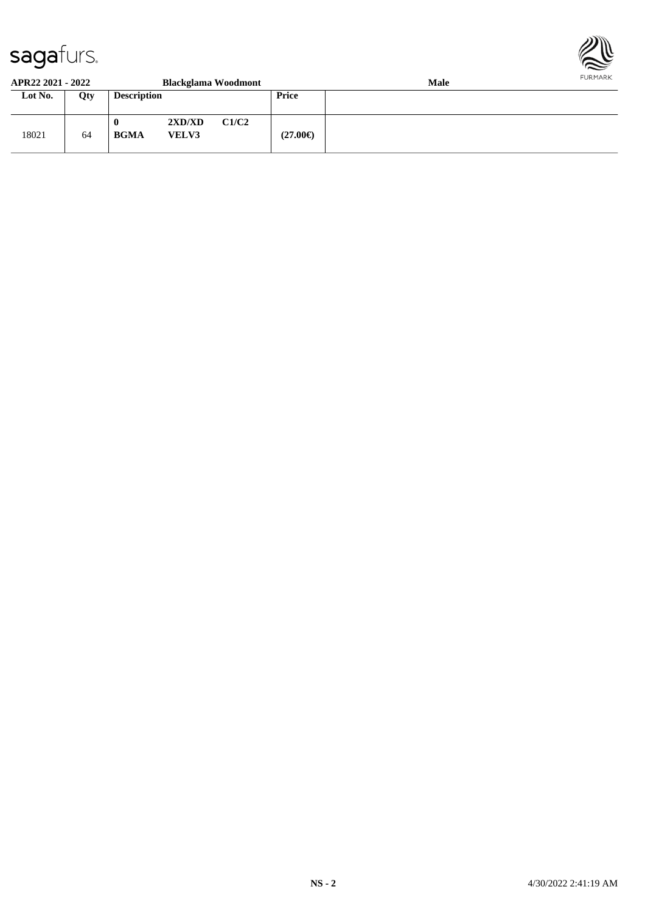

#### **APR22 2021 - 2022 Blackglama Woodmont Male**

| Lot No. | Qty | <b>Description</b>              |                        |       | Price             |  |
|---------|-----|---------------------------------|------------------------|-------|-------------------|--|
| 18021   | 64  | $\boldsymbol{0}$<br><b>BGMA</b> | 2XD/XD<br><b>VELV3</b> | C1/C2 | $(27.00\epsilon)$ |  |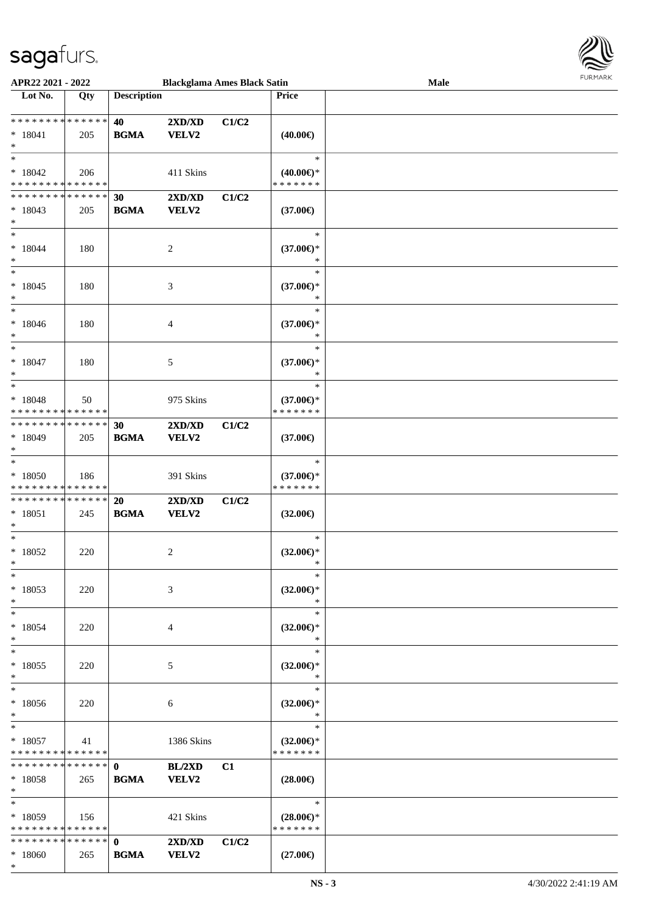

| APR22 2021 - 2022                          |     |                    | <b>Blackglama Ames Black Satin</b> |       |                     | Male |
|--------------------------------------------|-----|--------------------|------------------------------------|-------|---------------------|------|
| Lot No.                                    | Qty | <b>Description</b> |                                    |       | Price               |      |
|                                            |     |                    |                                    |       |                     |      |
| * * * * * * * * <mark>* * * * * * *</mark> |     | 40                 | 2XD/XD                             | C1/C2 |                     |      |
| $* 18041$                                  | 205 | <b>BGMA</b>        | VELV2                              |       | $(40.00\epsilon)$   |      |
| $\ast$                                     |     |                    |                                    |       |                     |      |
| $*$                                        |     |                    |                                    |       | $\ast$              |      |
|                                            |     |                    |                                    |       |                     |      |
| $*18042$                                   | 206 |                    | 411 Skins                          |       | $(40.00\epsilon)$ * |      |
| * * * * * * * * * * * * * *                |     |                    |                                    |       | * * * * * * *       |      |
| * * * * * * * * * * * * * * *              |     | 30                 | 2XD/XD                             | C1/C2 |                     |      |
| $*18043$                                   | 205 | <b>BGMA</b>        | VELV2                              |       | (37.00)             |      |
| $*$                                        |     |                    |                                    |       |                     |      |
| $\ast$                                     |     |                    |                                    |       | $\ast$              |      |
| $*18044$                                   | 180 |                    | 2                                  |       | $(37.00\epsilon)$ * |      |
| $\ast$                                     |     |                    |                                    |       | $\ast$              |      |
| $\ast$                                     |     |                    |                                    |       | $\ast$              |      |
| $* 18045$                                  | 180 |                    | 3                                  |       | $(37.00\epsilon)$ * |      |
| $\ast$                                     |     |                    |                                    |       | $\ast$              |      |
| $*$                                        |     |                    |                                    |       | $\ast$              |      |
|                                            |     |                    |                                    |       |                     |      |
| $* 18046$                                  | 180 |                    | 4                                  |       | $(37.00\epsilon)$ * |      |
| $\ast$                                     |     |                    |                                    |       | $\ast$              |      |
| $*$                                        |     |                    |                                    |       | $\ast$              |      |
| $*18047$                                   | 180 |                    | 5                                  |       | $(37.00\epsilon)$ * |      |
| $\ast$                                     |     |                    |                                    |       | $\ast$              |      |
| $*$                                        |     |                    |                                    |       | $\ast$              |      |
| $* 18048$                                  | 50  |                    | 975 Skins                          |       | $(37.00\epsilon)$ * |      |
| * * * * * * * * * * * * * *                |     |                    |                                    |       | * * * * * * *       |      |
| ******** <mark>******</mark>               |     |                    |                                    |       |                     |      |
|                                            |     | 30                 | 2XD/XD                             | C1/C2 |                     |      |
| $*18049$                                   | 205 | <b>BGMA</b>        | VELV2                              |       | $(37.00\epsilon)$   |      |
| $*$                                        |     |                    |                                    |       |                     |      |
| $*$                                        |     |                    |                                    |       | $\ast$              |      |
| $*18050$                                   | 186 |                    | 391 Skins                          |       | $(37.00\epsilon)$ * |      |
| * * * * * * * * * * * * * *                |     |                    |                                    |       | * * * * * * *       |      |
| * * * * * * * * * * * * * * <mark>*</mark> |     | 20                 | 2XD/XD                             | C1/C2 |                     |      |
| $* 18051$                                  | 245 | <b>BGMA</b>        | VELV2                              |       | $(32.00\epsilon)$   |      |
| $\ast$                                     |     |                    |                                    |       |                     |      |
| $*$                                        |     |                    |                                    |       | $\ast$              |      |
| $*18052$                                   | 220 |                    | 2                                  |       | $(32.00\epsilon)$ * |      |
| $*$                                        |     |                    |                                    |       | $\ast$              |      |
|                                            |     |                    |                                    |       | $\ast$              |      |
| $\ast$                                     |     |                    |                                    |       |                     |      |
| * 18053                                    | 220 |                    | 3                                  |       | $(32.00\epsilon)$ * |      |
| $\ast$                                     |     |                    |                                    |       | $\ast$              |      |
| $*$                                        |     |                    |                                    |       | $\ast$              |      |
| * 18054                                    | 220 |                    | 4                                  |       | $(32.00\epsilon)$ * |      |
| $\ast$                                     |     |                    |                                    |       | $\ast$              |      |
| $*$                                        |     |                    |                                    |       | $\ast$              |      |
| $*18055$                                   | 220 |                    | 5                                  |       | $(32.00\epsilon)$ * |      |
| $\ast$                                     |     |                    |                                    |       | $\ast$              |      |
| $\ast$                                     |     |                    |                                    |       | $\ast$              |      |
|                                            |     |                    |                                    |       |                     |      |
| * 18056                                    | 220 |                    | 6                                  |       | $(32.00\epsilon)$ * |      |
| $*$                                        |     |                    |                                    |       | $\ast$              |      |
| $*$ $-$                                    |     |                    |                                    |       | $\ast$              |      |
| $*18057$                                   | 41  |                    | 1386 Skins                         |       | $(32.00\epsilon)$ * |      |
| * * * * * * * * * * * * * * *              |     |                    |                                    |       | * * * * * * *       |      |
|                                            |     |                    | BL/2XD                             | C1    |                     |      |
| $*18058$                                   | 265 | <b>BGMA</b>        | <b>VELV2</b>                       |       | $(28.00\epsilon)$   |      |
| $\ast$                                     |     |                    |                                    |       |                     |      |
| $*$                                        |     |                    |                                    |       | $\ast$              |      |
|                                            |     |                    |                                    |       |                     |      |
| $*18059$                                   | 156 |                    | 421 Skins                          |       | $(28.00\epsilon)$ * |      |
| * * * * * * * * * * * * * *                |     |                    |                                    |       | * * * * * * *       |      |
|                                            |     |                    | 2XD/XD                             | C1/C2 |                     |      |
| $*18060$                                   | 265 | <b>BGMA</b>        | <b>VELV2</b>                       |       | $(27.00\epsilon)$   |      |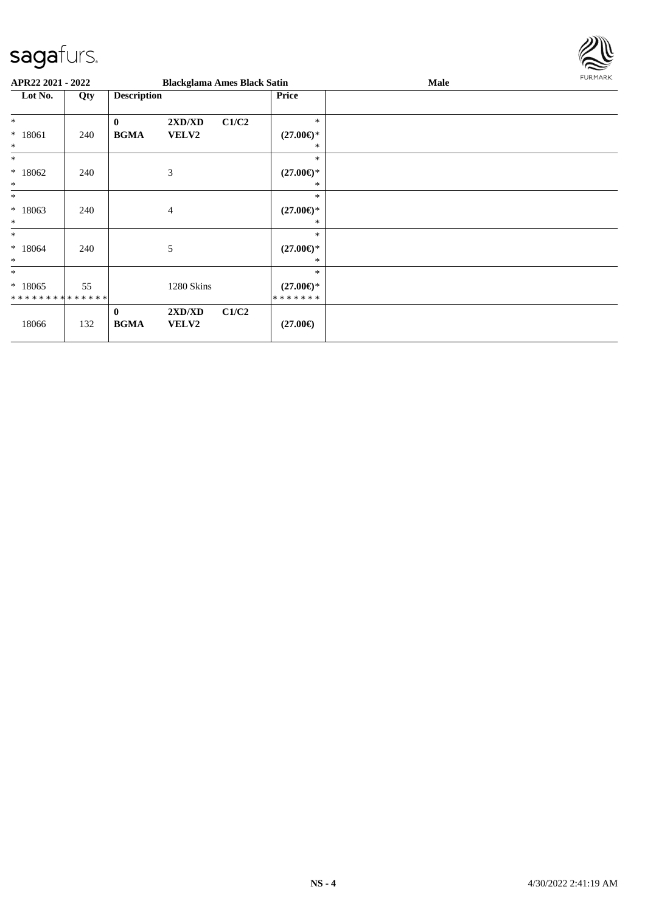

| APR22 2021 - 2022                         |     |                         | <b>Blackglama Ames Black Satin</b> |       |                                      | <b>Male</b> | <b>FURMARK</b> |
|-------------------------------------------|-----|-------------------------|------------------------------------|-------|--------------------------------------|-------------|----------------|
| Lot No.<br>Qty                            |     | <b>Description</b>      |                                    |       | Price                                |             |                |
| $\ast$                                    |     | $\mathbf{0}$            | 2XD/XD                             | C1/C2 | $\ast$                               |             |                |
| $* 18061$<br>$\ast$                       | 240 | <b>BGMA</b>             | VELV2                              |       | $(27.00\epsilon)$ *<br>*             |             |                |
| $*$                                       |     |                         |                                    |       | $\ast$                               |             |                |
| * 18062<br>$\ast$                         | 240 |                         | 3                                  |       | $(27.00\epsilon)$ *<br>$\ast$        |             |                |
| $\ast$                                    |     |                         |                                    |       | $\ast$                               |             |                |
| $*18063$<br>$\ast$                        | 240 |                         | $\overline{4}$                     |       | $(27.00\epsilon)$ *<br>*             |             |                |
| $\ast$                                    |     |                         |                                    |       | $\ast$                               |             |                |
| $*18064$<br>$\ast$                        | 240 |                         | 5                                  |       | $(27.00\epsilon)$ *<br>∗             |             |                |
| $\ast$                                    |     |                         |                                    |       | $\ast$                               |             |                |
| $*18065$<br>* * * * * * * * * * * * * * * | 55  |                         | 1280 Skins                         |       | $(27.00\epsilon)$ *<br>* * * * * * * |             |                |
| 18066                                     | 132 | $\bf{0}$<br><b>BGMA</b> | 2XD/XD<br>VELV2                    | C1/C2 | $(27.00\epsilon)$                    |             |                |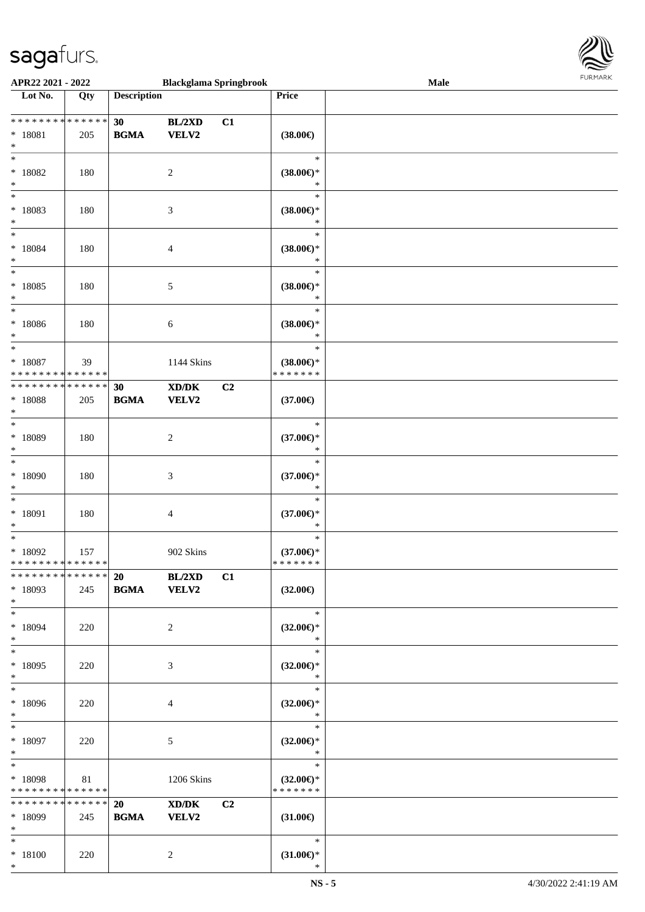

| APR22 2021 - 2022             |                   |                    | <b>Blackglama Springbrook</b>               |    |                               | <b>Male</b> |  |
|-------------------------------|-------------------|--------------------|---------------------------------------------|----|-------------------------------|-------------|--|
| Lot No.                       | $\overline{Q}$ ty | <b>Description</b> |                                             |    | Price                         |             |  |
|                               |                   |                    |                                             |    |                               |             |  |
| ******** <mark>******</mark>  |                   | 30                 | BL/2XD                                      | C1 |                               |             |  |
| $* 18081$                     | 205               | <b>BGMA</b>        | VELV2                                       |    | $(38.00\epsilon)$             |             |  |
| $\ast$                        |                   |                    |                                             |    |                               |             |  |
| $*$                           |                   |                    |                                             |    | $\ast$                        |             |  |
| * 18082                       |                   |                    |                                             |    | $(38.00\epsilon)$ *           |             |  |
|                               | 180               |                    | $\overline{c}$                              |    |                               |             |  |
| $\ast$<br>$*$                 |                   |                    |                                             |    | $\ast$                        |             |  |
|                               |                   |                    |                                             |    | $\ast$                        |             |  |
| * 18083                       | 180               |                    | $\mathfrak{Z}$                              |    | $(38.00\epsilon)$ *           |             |  |
| $\ast$                        |                   |                    |                                             |    | *                             |             |  |
| $*$                           |                   |                    |                                             |    | $\ast$                        |             |  |
| $* 18084$                     | 180               |                    | 4                                           |    | $(38.00\epsilon)$ *           |             |  |
| $\ast$                        |                   |                    |                                             |    | $\ast$                        |             |  |
| $\ast$                        |                   |                    |                                             |    | $\ast$                        |             |  |
| $* 18085$                     | 180               |                    | 5                                           |    | $(38.00\epsilon)$ *           |             |  |
| $\ast$                        |                   |                    |                                             |    | $\ast$                        |             |  |
| $\ast$                        |                   |                    |                                             |    | $\ast$                        |             |  |
| $* 18086$                     | 180               |                    | 6                                           |    | $(38.00\epsilon)$ *           |             |  |
| $\ast$                        |                   |                    |                                             |    | $\ast$                        |             |  |
| $\ast$                        |                   |                    |                                             |    | $\ast$                        |             |  |
| $* 18087$                     | 39                |                    | 1144 Skins                                  |    | $(38.00\epsilon)$ *           |             |  |
| * * * * * * * * * * * * * *   |                   |                    |                                             |    | * * * * * * *                 |             |  |
| * * * * * * * * * * * * * *   |                   | 30                 | $\mathbf{X}\mathbf{D}/\mathbf{D}\mathbf{K}$ | C2 |                               |             |  |
|                               |                   |                    |                                             |    |                               |             |  |
| * 18088<br>$\ast$             | 205               | <b>BGMA</b>        | VELV2                                       |    | $(37.00\epsilon)$             |             |  |
| $\ast$                        |                   |                    |                                             |    | $\ast$                        |             |  |
|                               |                   |                    |                                             |    |                               |             |  |
| * 18089                       | 180               |                    | $\overline{c}$                              |    | $(37.00\in)^\ast$             |             |  |
| $\ast$<br>$\ast$              |                   |                    |                                             |    | *                             |             |  |
|                               |                   |                    |                                             |    | $\ast$                        |             |  |
| $*18090$                      | 180               |                    | $\mathfrak{Z}$                              |    | $(37.00\epsilon)$ *           |             |  |
| $\ast$                        |                   |                    |                                             |    | $\ast$                        |             |  |
| $\ast$                        |                   |                    |                                             |    | $\ast$                        |             |  |
| $* 18091$                     | 180               |                    | 4                                           |    | $(37.00\epsilon)$ *           |             |  |
| $\ast$                        |                   |                    |                                             |    | $\ast$                        |             |  |
| $\ast$                        |                   |                    |                                             |    | $\ast$                        |             |  |
| $*18092$                      | 157               |                    | 902 Skins                                   |    | $(37.00\epsilon)$ *           |             |  |
| * * * * * * * * * * * * * * * |                   |                    |                                             |    | * * * * * * *                 |             |  |
| * * * * * * * * * * * * * * * |                   | 20 BL/2XD          |                                             | C1 |                               |             |  |
| * 18093                       | 245               | <b>BGMA</b> VELV2  |                                             |    | $(32.00\epsilon)$             |             |  |
| $*$                           |                   |                    |                                             |    |                               |             |  |
| $*$                           |                   |                    |                                             |    | $\ast$                        |             |  |
| * 18094                       | 220               |                    | 2                                           |    | $(32.00\epsilon)$ *           |             |  |
| $*$                           |                   |                    |                                             |    | $\ast$                        |             |  |
| $*$                           |                   |                    |                                             |    | $\ast$                        |             |  |
| * 18095                       | 220               |                    | 3                                           |    | $(32.00\epsilon)$ *           |             |  |
| $*$                           |                   |                    |                                             |    | $\ast$                        |             |  |
| $*$                           |                   |                    |                                             |    | $\ast$                        |             |  |
| * 18096                       |                   |                    |                                             |    |                               |             |  |
| $*$                           | 220               |                    | 4                                           |    | $(32.00\epsilon)$ *<br>$\ast$ |             |  |
| $*$ $*$                       |                   |                    |                                             |    | $\ast$                        |             |  |
|                               |                   |                    |                                             |    |                               |             |  |
| $* 18097$                     | 220               |                    | 5                                           |    | $(32.00\epsilon)$ *           |             |  |
| $*$                           |                   |                    |                                             |    | $\ast$                        |             |  |
| $*$                           |                   |                    |                                             |    | $\ast$                        |             |  |
| * 18098                       | 81                |                    | 1206 Skins                                  |    | $(32.00\epsilon)$ *           |             |  |
| * * * * * * * * * * * * * *   |                   |                    |                                             |    | * * * * * * *                 |             |  |
| * * * * * * * * * * * * * * * |                   | 20                 | XD/DK                                       | C2 |                               |             |  |
| * 18099                       | 245               | <b>BGMA</b>        | <b>VELV2</b>                                |    | $(31.00\epsilon)$             |             |  |
| $*$                           |                   |                    |                                             |    |                               |             |  |
| $*$ $*$                       |                   |                    |                                             |    | $\ast$                        |             |  |
| $* 18100$                     | 220               |                    | 2                                           |    | $(31.00\epsilon)$ *           |             |  |
| $*$                           |                   |                    |                                             |    | $\ast$                        |             |  |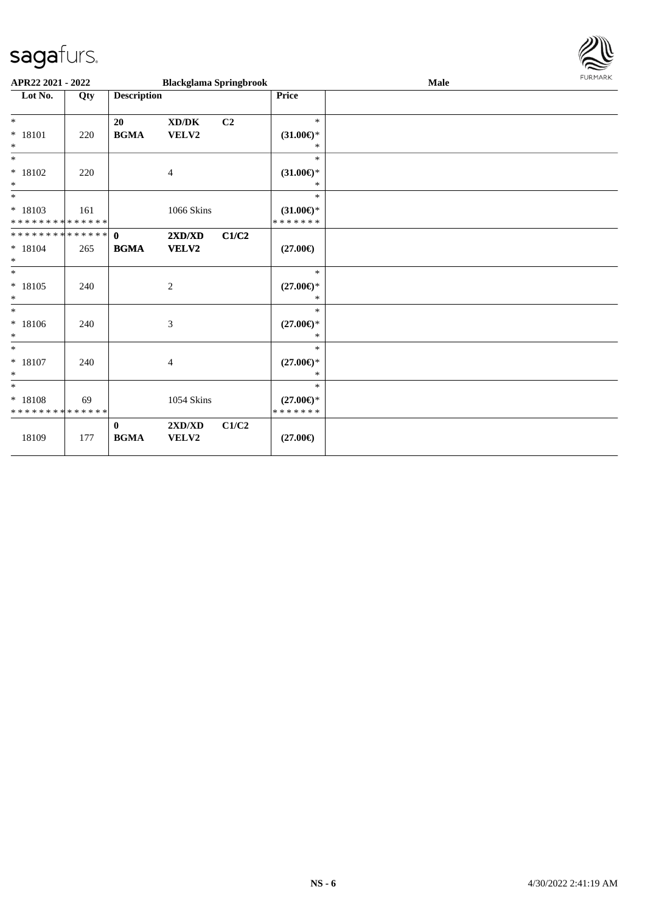

| APR22 2021 - 2022                                 |     |                                                        | <b>Blackglama Springbrook</b> |                |                                                | <b>Male</b> | <b>FURMARK</b> |
|---------------------------------------------------|-----|--------------------------------------------------------|-------------------------------|----------------|------------------------------------------------|-------------|----------------|
| Lot No.                                           | Qty | <b>Description</b>                                     |                               |                | Price                                          |             |                |
| $\ast$<br>$* 18101$<br>$\ast$                     | 220 | 20<br>$\mathbf{B}\mathbf{G}\mathbf{M}\mathbf{A}$       | XD/DK<br>VELV2                | C <sub>2</sub> | $\ast$<br>$(31.00\epsilon)$ *<br>$\ast$        |             |                |
| $\ast$<br>$* 18102$<br>$*$                        | 220 |                                                        | $\overline{4}$                |                | $\ast$<br>$(31.00\epsilon)$ *<br>$\ast$        |             |                |
| $*$<br>$* 18103$<br>* * * * * * * * * * * * * *   | 161 |                                                        | 1066 Skins                    |                | $\ast$<br>$(31.00\epsilon)$ *<br>* * * * * * * |             |                |
| * * * * * * * * * * * * * * *<br>$* 18104$<br>$*$ | 265 | $\mathbf{0}$<br><b>BGMA</b>                            | 2XD/XD<br>VELV2               | C1/C2          | $(27.00\epsilon)$                              |             |                |
| $*$<br>$* 18105$<br>$\ast$                        | 240 |                                                        | $\sqrt{2}$                    |                | $\ast$<br>$(27.00\epsilon)$ *<br>$\ast$        |             |                |
| $*$<br>$* 18106$<br>$\ast$                        | 240 |                                                        | 3                             |                | $\ast$<br>$(27.00\epsilon)$ *<br>$\ast$        |             |                |
| $*$<br>$* 18107$<br>$*$                           | 240 |                                                        | $\overline{4}$                |                | $\ast$<br>$(27.00\epsilon)$ *<br>$\ast$        |             |                |
| $*$<br>* 18108<br>* * * * * * * * * * * * * *     | 69  |                                                        | 1054 Skins                    |                | $\ast$<br>$(27.00\epsilon)$ *<br>*******       |             |                |
| 18109                                             | 177 | $\bf{0}$<br>$\mathbf{B}\mathbf{G}\mathbf{M}\mathbf{A}$ | 2XD/XD<br>VELV2               | C1/C2          | $(27.00\epsilon)$                              |             |                |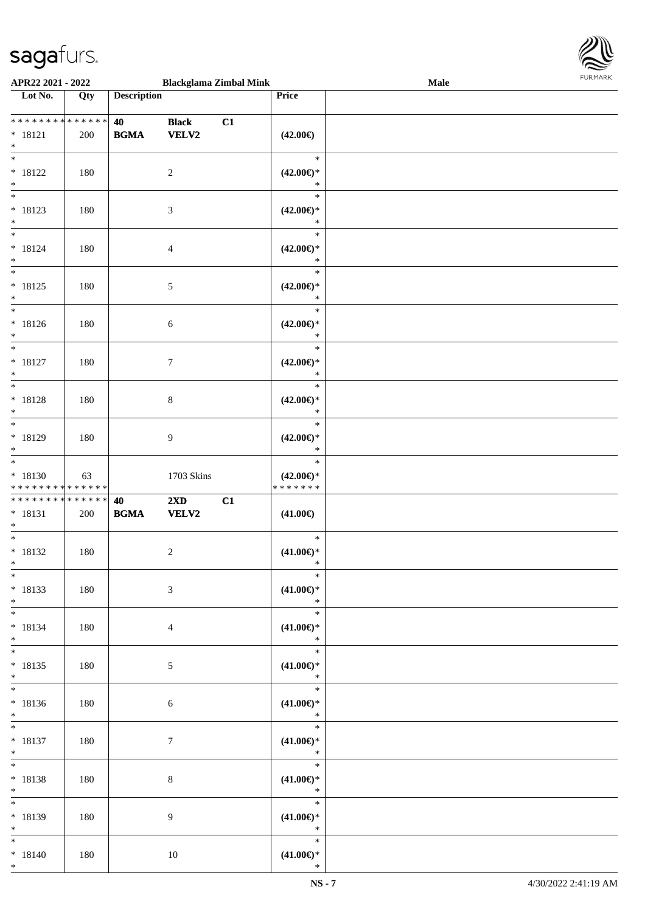

| APR22 2021 - 2022                                                    |     |                    | <b>Blackglama Zimbal Mink</b>    |    |                                          | <b>Male</b> |  |
|----------------------------------------------------------------------|-----|--------------------|----------------------------------|----|------------------------------------------|-------------|--|
| Lot No.                                                              | Qty | <b>Description</b> |                                  |    | Price                                    |             |  |
| **************<br>$* 18121$<br>$\ast$                                | 200 | 40<br><b>BGMA</b>  | <b>Black</b><br>VELV2            | C1 | $(42.00\epsilon)$                        |             |  |
| $\overline{\phantom{0}}$<br>$* 18122$<br>$\ast$                      | 180 |                    | $\overline{c}$                   |    | $\ast$<br>$(42.00\epsilon)$ *<br>$\ast$  |             |  |
| $\overline{\phantom{a}^*}$<br>$* 18123$<br>$\ast$                    | 180 |                    | $\mathfrak{Z}$                   |    | $\ast$<br>$(42.00\epsilon)$ *<br>$\ast$  |             |  |
| $\overline{\ast}$<br>$* 18124$<br>$\ast$                             | 180 |                    | $\overline{4}$                   |    | $\ast$<br>$(42.00\epsilon)$ *<br>$\ast$  |             |  |
| $_{\ast}^{-}$<br>$* 18125$<br>$\ast$                                 | 180 |                    | $5\,$                            |    | $\ast$<br>$(42.00\epsilon)$ *<br>$\ast$  |             |  |
| $_{\ast}^{-}$<br>$* 18126$<br>$\ast$                                 | 180 |                    | $\sqrt{6}$                       |    | $\ast$<br>$(42.00\epsilon)$ *<br>$\ast$  |             |  |
| $\overline{\phantom{a}^*}$<br>$* 18127$<br>$\ast$                    | 180 |                    | $\boldsymbol{7}$                 |    | $\ast$<br>$(42.00\epsilon)$ *<br>$\ast$  |             |  |
| $\overline{\ast}$<br>$* 18128$<br>$\ast$                             | 180 |                    | $\,8\,$                          |    | $\ast$<br>$(42.00\epsilon)$ *<br>$\ast$  |             |  |
| $\overline{\phantom{a}^*}$<br>$* 18129$<br>$\ast$                    | 180 |                    | $\overline{9}$                   |    | $\ast$<br>$(42.00\epsilon)$ *<br>$\ast$  |             |  |
| $\overline{\phantom{1}}$<br>$* 18130$<br>* * * * * * * * * * * * * * | 63  |                    | 1703 Skins                       |    | $\ast$<br>$(42.00\epsilon)$ *<br>******* |             |  |
| * * * * * * * * * * * * * *<br>$* 18131$<br>$\ast$                   | 200 | 40<br><b>BGMA</b>  | $2\mathbf{X}\mathbf{D}$<br>VELV2 | C1 | $(41.00\epsilon)$                        |             |  |
| $\ast$<br>$* 18132$<br>$*$                                           | 180 |                    | $\sqrt{2}$                       |    | $\ast$<br>$(41.00\epsilon)$ *<br>$\ast$  |             |  |
| $*$<br>$* 18133$<br>$\ast$                                           | 180 |                    | $\mathfrak{Z}$                   |    | $\ast$<br>$(41.00\epsilon)$ *<br>$\ast$  |             |  |
| $\overline{\phantom{0}}$<br>$* 18134$<br>$\ast$                      | 180 |                    | 4                                |    | $\ast$<br>$(41.00\epsilon)$ *<br>$\ast$  |             |  |
| $\ast$<br>$* 18135$<br>$*$                                           | 180 |                    | $5\overline{)}$                  |    | $\ast$<br>$(41.00\epsilon)$ *<br>$\ast$  |             |  |
| $\overline{\phantom{1}}$<br>$* 18136$<br>$*$                         | 180 |                    | 6                                |    | $\ast$<br>$(41.00\epsilon)$ *<br>$\ast$  |             |  |
| $*$<br>$* 18137$<br>$*$                                              | 180 |                    | $\boldsymbol{7}$                 |    | $\ast$<br>$(41.00\in)^\ast$<br>$\ast$    |             |  |
| $\ast$<br>$* 18138$<br>$\ast$                                        | 180 |                    | $\,8\,$                          |    | $\ast$<br>$(41.00\epsilon)$ *<br>$\ast$  |             |  |
| $\ast$<br>* 18139<br>$\ast$                                          | 180 |                    | 9                                |    | $\ast$<br>$(41.00\epsilon)$ *<br>$\ast$  |             |  |
| $*$<br>$* 18140$<br>$*$                                              | 180 |                    | 10                               |    | $\ast$<br>$(41.00\epsilon)$ *<br>$\ast$  |             |  |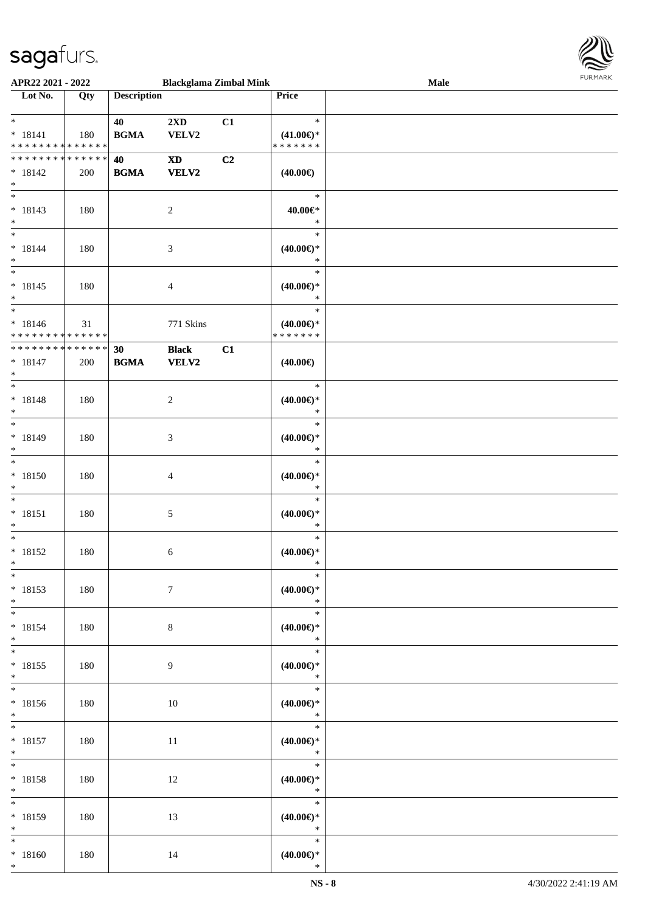

| APR22 2021 - 2022                          |     |                    |                | <b>Blackglama Zimbal Mink</b> |                     | <b>Male</b> |  |
|--------------------------------------------|-----|--------------------|----------------|-------------------------------|---------------------|-------------|--|
| Lot No.                                    | Qty | <b>Description</b> |                |                               | <b>Price</b>        |             |  |
|                                            |     |                    |                |                               |                     |             |  |
| $*$                                        |     | 40                 | 2XD            | C1                            | $\ast$              |             |  |
| $* 18141$                                  | 180 | <b>BGMA</b>        | VELV2          |                               | $(41.00\epsilon)$ * |             |  |
| * * * * * * * * * * * * * *                |     |                    |                |                               | * * * * * * *       |             |  |
| * * * * * * * * <mark>* * * * * * *</mark> |     |                    |                |                               |                     |             |  |
|                                            |     | 40                 | <b>XD</b>      | C2                            |                     |             |  |
| $* 18142$                                  | 200 | <b>BGMA</b>        | <b>VELV2</b>   |                               | $(40.00\epsilon)$   |             |  |
| $*$                                        |     |                    |                |                               |                     |             |  |
|                                            |     |                    |                |                               | $\ast$              |             |  |
| $* 18143$                                  | 180 |                    | $\overline{c}$ |                               | 40.00€*             |             |  |
| $*$                                        |     |                    |                |                               | $\ast$              |             |  |
| $*$                                        |     |                    |                |                               | $\ast$              |             |  |
| $* 18144$                                  | 180 |                    | $\mathfrak{Z}$ |                               | $(40.00\epsilon)$ * |             |  |
| $*$                                        |     |                    |                |                               | $\ast$              |             |  |
|                                            |     |                    |                |                               | $\ast$              |             |  |
|                                            |     |                    |                |                               |                     |             |  |
| $* 18145$                                  | 180 |                    | $\overline{4}$ |                               | $(40.00\epsilon)$ * |             |  |
| $*$                                        |     |                    |                |                               | $\ast$              |             |  |
| $\overline{\phantom{0}}$                   |     |                    |                |                               | $\ast$              |             |  |
| $* 18146$                                  | 31  |                    | 771 Skins      |                               | $(40.00\epsilon)$ * |             |  |
| * * * * * * * * <mark>* * * * * * *</mark> |     |                    |                |                               | * * * * * * *       |             |  |
| * * * * * * * * <mark>* * * * * * *</mark> |     | 30                 | <b>Black</b>   | C1                            |                     |             |  |
| $* 18147$                                  | 200 | <b>BGMA</b>        | <b>VELV2</b>   |                               | $(40.00\epsilon)$   |             |  |
|                                            |     |                    |                |                               |                     |             |  |
| $*$                                        |     |                    |                |                               |                     |             |  |
|                                            |     |                    |                |                               | $\ast$              |             |  |
| $* 18148$                                  | 180 |                    | 2              |                               | $(40.00\epsilon)$ * |             |  |
| $*$                                        |     |                    |                |                               | $\ast$              |             |  |
| $\overline{\ast}$                          |     |                    |                |                               | $\ast$              |             |  |
| * 18149                                    | 180 |                    | $\mathfrak{Z}$ |                               | $(40.00\epsilon)$ * |             |  |
| $*$                                        |     |                    |                |                               | $\ast$              |             |  |
|                                            |     |                    |                |                               | $\ast$              |             |  |
| $* 18150$                                  |     |                    |                |                               |                     |             |  |
|                                            | 180 |                    | $\overline{4}$ |                               | $(40.00\epsilon)$ * |             |  |
| $*$                                        |     |                    |                |                               | $\ast$              |             |  |
| $*$                                        |     |                    |                |                               | $\ast$              |             |  |
| $* 18151$                                  | 180 |                    | $\sqrt{5}$     |                               | $(40.00\epsilon)$ * |             |  |
| $*$                                        |     |                    |                |                               | $\ast$              |             |  |
| $*$                                        |     |                    |                |                               | $\ast$              |             |  |
| $* 18152$                                  | 180 |                    | 6              |                               | $(40.00\epsilon)$ * |             |  |
| $*$                                        |     |                    |                |                               | $\ast$              |             |  |
| $*$                                        |     |                    |                |                               | $\ast$              |             |  |
| $* 18153$                                  |     |                    | $\tau$         |                               | $(40.00\epsilon)$ * |             |  |
|                                            | 180 |                    |                |                               |                     |             |  |
| $*$                                        |     |                    |                |                               | $\ast$              |             |  |
| $*$ $*$                                    |     |                    |                |                               | $\ast$              |             |  |
| $* 18154$                                  | 180 |                    | $8\,$          |                               | $(40.00\epsilon)$ * |             |  |
| $*$                                        |     |                    |                |                               | $\mathbb{R}^n$      |             |  |
| $*$                                        |     |                    |                |                               | $\ast$              |             |  |
| $* 18155$                                  | 180 |                    | 9              |                               | (40.00)             |             |  |
| $*$                                        |     |                    |                |                               | $\ast$              |             |  |
| $*$                                        |     |                    |                |                               | $*$                 |             |  |
| * 18156                                    |     |                    |                |                               |                     |             |  |
|                                            | 180 |                    | 10             |                               | $(40.00\epsilon)$ * |             |  |
| $*$                                        |     |                    |                |                               | $\ast$              |             |  |
| $*$ $*$                                    |     |                    |                |                               | $\ast$              |             |  |
| $* 18157$                                  | 180 |                    | 11             |                               | $(40.00\epsilon)$ * |             |  |
| $*$                                        |     |                    |                |                               | $\ast$              |             |  |
| $*$                                        |     |                    |                |                               | $\ast$              |             |  |
| * 18158                                    | 180 |                    | 12             |                               | $(40.00\epsilon)$ * |             |  |
| $*$ $\qquad$                               |     |                    |                |                               | $\ast$              |             |  |
| $*$                                        |     |                    |                |                               | $\ast$              |             |  |
|                                            |     |                    |                |                               |                     |             |  |
| * 18159                                    | 180 |                    | 13             |                               | $(40.00\epsilon)$ * |             |  |
| $*$                                        |     |                    |                |                               | $\ast$              |             |  |
| $*$                                        |     |                    |                |                               | $\ast$              |             |  |
| * 18160                                    | 180 |                    | 14             |                               | $(40.00\epsilon)$ * |             |  |
| $*$                                        |     |                    |                |                               | $\ast$              |             |  |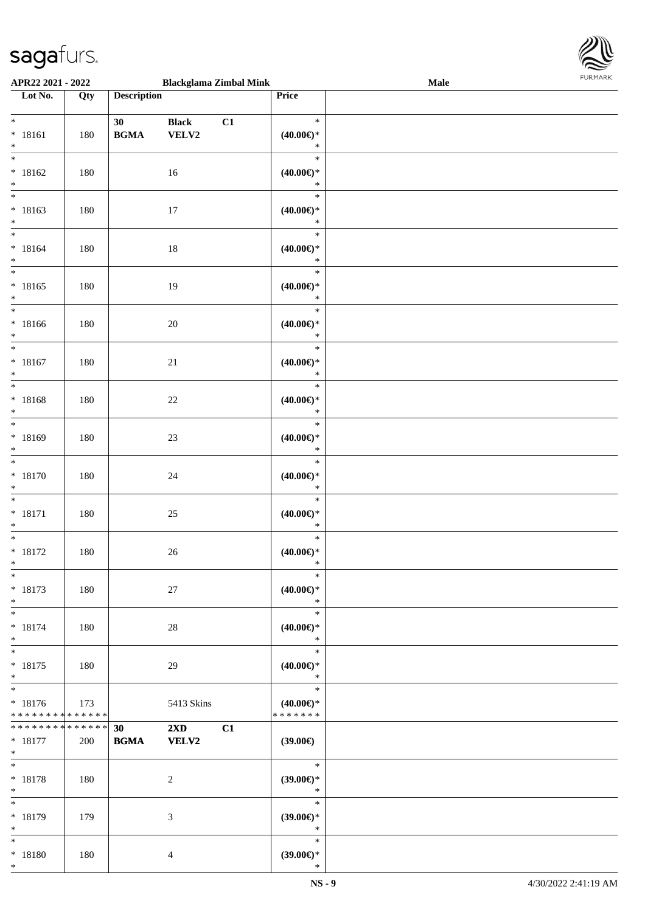

| APR22 2021 - 2022                                  |     |                                                  | <b>Blackglama Zimbal Mink</b>                 |                                                | Male |  |
|----------------------------------------------------|-----|--------------------------------------------------|-----------------------------------------------|------------------------------------------------|------|--|
| Lot No.                                            | Qty | <b>Description</b>                               |                                               | Price                                          |      |  |
| $\ast$<br>$* 18161$<br>$\ast$                      | 180 | 30<br>$\mathbf{B}\mathbf{G}\mathbf{M}\mathbf{A}$ | <b>Black</b><br>C1<br>VELV2                   | $\ast$<br>(40.00)<br>$\ast$                    |      |  |
| $*$<br>$* 18162$<br>$\ast$                         | 180 |                                                  | 16                                            | $\ast$<br>$(40.00\epsilon)$ *<br>$\ast$        |      |  |
| $\overline{\phantom{a}^*}$<br>$* 18163$<br>$\ast$  | 180 |                                                  | $17\,$                                        | $\ast$<br>$(40.00\epsilon)$ *<br>$\ast$        |      |  |
| $\overline{\ast}$<br>$* 18164$<br>$\ast$           | 180 |                                                  | $18\,$                                        | $\ast$<br>$(40.00\in)^\ast$<br>$\ast$          |      |  |
| $\overline{\phantom{0}}$<br>$* 18165$<br>$\ast$    | 180 |                                                  | 19                                            | $\ast$<br>$(40.00\epsilon)$ *<br>$\ast$        |      |  |
| $\overline{\phantom{1}}$<br>$* 18166$<br>$\ast$    | 180 |                                                  | $20\,$                                        | $\ast$<br>$(40.00\epsilon)$ *<br>$\ast$        |      |  |
| $_{\ast}$<br>$* 18167$<br>$\ast$                   | 180 |                                                  | 21                                            | $\ast$<br>$(40.00\epsilon)$ *<br>$\ast$        |      |  |
| $\overline{\ast}$<br>$* 18168$<br>$\ast$           | 180 |                                                  | $22\,$                                        | $\ast$<br>$(40.00\epsilon)$ *<br>$\ast$        |      |  |
| $\overline{\phantom{a}^*}$<br>$* 18169$<br>$\ast$  | 180 |                                                  | $23\,$                                        | $\ast$<br>$(40.00\epsilon)$ *<br>$\ast$        |      |  |
| $\overline{\phantom{1}}$<br>$* 18170$<br>$\ast$    | 180 |                                                  | $24\,$                                        | $\ast$<br>$(40.00\in)^\ast$<br>$\ast$          |      |  |
| $\ast$<br>$* 18171$<br>$\ast$                      | 180 |                                                  | $25\,$                                        | $\ast$<br>$(40.00\in)^\ast$<br>$\ast$          |      |  |
| $\ast$<br>$* 18172$<br>$*$                         | 180 |                                                  | $26\,$                                        | $\ast$<br>$(40.00\epsilon)$ *<br>$\ast$        |      |  |
| $\ast$<br>$* 18173$<br>$\ast$                      | 180 |                                                  | $27\,$                                        | $\ast$<br>(40.00)<br>$\ast$                    |      |  |
| $\ast$<br>$* 18174$<br>$\ast$                      | 180 |                                                  | 28                                            | $\ast$<br>$(40.00\epsilon)$ *<br>$\ast$        |      |  |
| $\ast$<br>$* 18175$<br>$\ast$                      | 180 |                                                  | 29                                            | $\ast$<br>(40.00)<br>$\ast$                    |      |  |
| $\ast$<br>$* 18176$<br>* * * * * * * * * * * * * * | 173 |                                                  | 5413 Skins                                    | $\ast$<br>$(40.00\epsilon)$ *<br>* * * * * * * |      |  |
| * * * * * * * * * * * * * * *<br>$* 18177$<br>$*$  | 200 | 30<br><b>BGMA</b>                                | $2\mathbf{X}\mathbf{D}$<br>C1<br><b>VELV2</b> | (39.00)                                        |      |  |
| $\ast$<br>$* 18178$<br>$\ast$                      | 180 |                                                  | $\overline{2}$                                | $\ast$<br>(39.00)<br>$\ast$                    |      |  |
| $\ast$<br>* 18179<br>$\ast$                        | 179 |                                                  | $\mathfrak{Z}$                                | $\ast$<br>(39.00)<br>$\ast$                    |      |  |
| $*$<br>$* 18180$<br>$\ast$                         | 180 |                                                  | $\overline{4}$                                | $\ast$<br>$(39.00\epsilon)$ *<br>$\ast$        |      |  |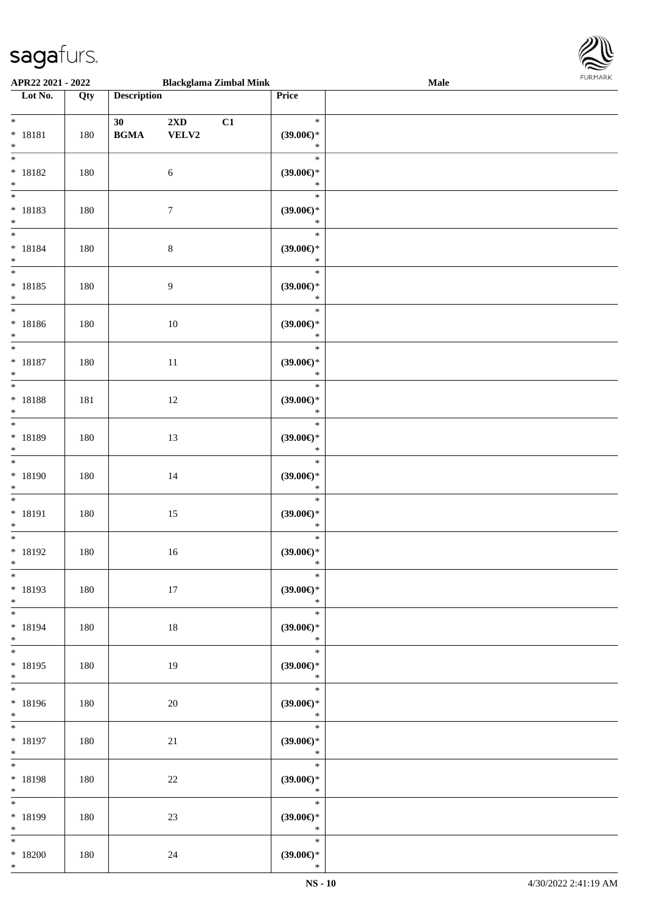

| APR22 2021 - 2022                               |     |                                                  | <b>Blackglama Zimbal Mink</b> |                                         | Male | 1.91511111515 |
|-------------------------------------------------|-----|--------------------------------------------------|-------------------------------|-----------------------------------------|------|---------------|
| Lot No.                                         | Qty | <b>Description</b>                               |                               | Price                                   |      |               |
| $*$<br>* 18181<br>$\ast$                        | 180 | 30<br>$\mathbf{B}\mathbf{G}\mathbf{M}\mathbf{A}$ | 2XD<br>C1<br>VELV2            | $\ast$<br>$(39.00\epsilon)$ *<br>$\ast$ |      |               |
| $*$<br>$* 18182$<br>$*$                         | 180 |                                                  | 6                             | $\ast$<br>$(39.00\epsilon)$ *<br>$\ast$ |      |               |
| * 18183<br>$\ast$                               | 180 |                                                  | $\tau$                        | $\ast$<br>(39.00)<br>$\ast$             |      |               |
| $*$<br>$* 18184$<br>$*$                         | 180 |                                                  | $\,8\,$                       | $\ast$<br>(39.00)<br>$\ast$             |      |               |
| $\overline{\phantom{0}}$<br>$* 18185$<br>$\ast$ | 180 |                                                  | 9                             | $\ast$<br>(39.00)<br>$\ast$             |      |               |
| $\overline{\phantom{0}}$<br>$* 18186$<br>$\ast$ | 180 |                                                  | 10                            | $\ast$<br>$(39.00\epsilon)$ *<br>$\ast$ |      |               |
| $\overline{\ast}$<br>$* 18187$<br>$\ast$        | 180 |                                                  | 11                            | $\ast$<br>$(39.00\epsilon)$ *<br>$\ast$ |      |               |
| $*$<br>$* 18188$<br>$*$                         | 181 |                                                  | 12                            | $\ast$<br>(39.00)<br>$\ast$             |      |               |
| $\overline{\ast}$<br>* 18189<br>$\ast$          | 180 |                                                  | 13                            | $\ast$<br>(39.00)<br>$\ast$             |      |               |
| $\overline{\ast}$<br>* 18190<br>$\ast$          | 180 |                                                  | 14                            | $\ast$<br>(39.00)<br>$\ast$             |      |               |
| $*$<br>$* 18191$<br>$\ast$                      | 180 |                                                  | 15                            | $\ast$<br>(39.00)<br>$\ast$             |      |               |
| $*$<br>$* 18192$<br>$*$                         | 180 |                                                  | $16\,$                        | $\ast$<br>(39.00)<br>$*$                |      |               |
| $*$<br>* 18193<br>$*$                           | 180 |                                                  | 17                            | $\ast$<br>$(39.00\epsilon)$ *<br>$\ast$ |      |               |
| * 18194<br>$*$                                  | 180 |                                                  | 18                            | $\ast$<br>$(39.00\epsilon)$ *<br>$\ast$ |      |               |
| $*$<br>$* 18195$<br>$*$                         | 180 |                                                  | 19                            | $\ast$<br>$(39.00\epsilon)$ *<br>$*$    |      |               |
| * 18196<br>$*$                                  | 180 |                                                  | 20                            | $\ast$<br>(39.00)<br>$\ast$             |      |               |
| $*$<br>$* 18197$<br>$*$ $*$                     | 180 |                                                  | 21                            | $\ast$<br>(39.00)<br>$\ast$             |      |               |
| $*$ and $*$<br>* 18198<br>$*$                   | 180 |                                                  | $22\,$                        | $\ast$<br>(39.00)<br>$\ast$             |      |               |
| $*$<br>* 18199<br>$*$                           | 180 |                                                  | $23\,$                        | $\ast$<br>$(39.00\epsilon)$ *<br>$\ast$ |      |               |
| $\ast$<br>$*18200$<br>$*$                       | 180 |                                                  | 24                            | $\ast$<br>$(39.00\epsilon)$ *<br>$\ast$ |      |               |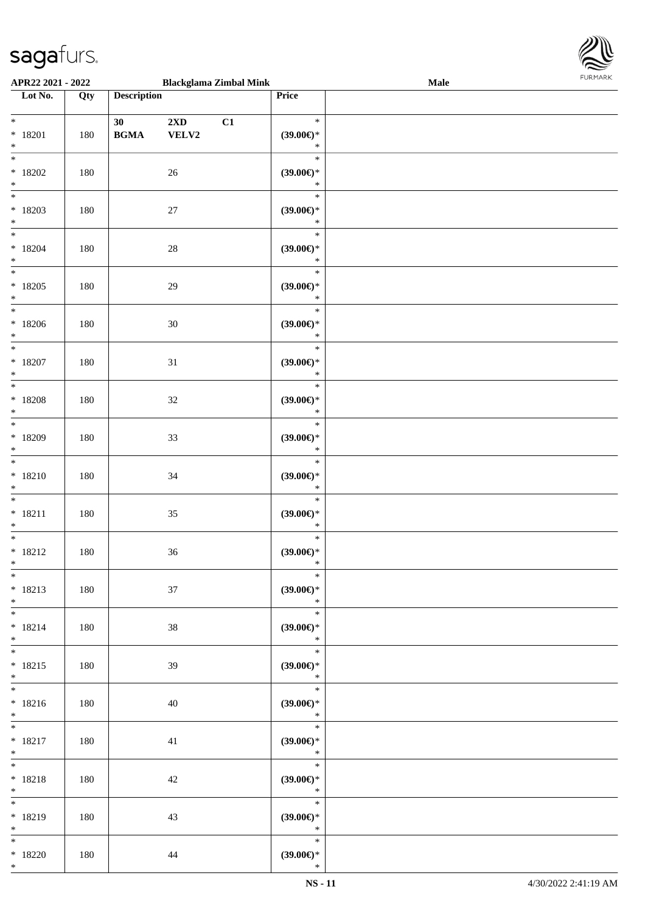

| APR22 2021 - 2022                              |     |                    |              | <b>Blackglama Zimbal Mink</b> |                                                   | <b>Male</b> |  |
|------------------------------------------------|-----|--------------------|--------------|-------------------------------|---------------------------------------------------|-------------|--|
| Lot No.                                        | Qty | <b>Description</b> |              |                               | Price                                             |             |  |
| $*$<br>$* 18201$<br>$*$                        | 180 | 30<br><b>BGMA</b>  | 2XD<br>VELV2 | C1                            | $\ast$<br>$(39.00\epsilon)$ *<br>$\ast$           |             |  |
| $*18202$<br>$*$                                | 180 |                    | 26           |                               | $\ast$<br>$(39.00\epsilon)$ *<br>$\ast$           |             |  |
| $*18203$<br>$*$                                | 180 |                    | $27\,$       |                               | $\ast$<br>(39.00)<br>$\ast$                       |             |  |
| $*$<br>$* 18204$<br>$*$                        | 180 |                    | $28\,$       |                               | $\ast$<br>$(39.00\epsilon)$ *<br>$\ast$           |             |  |
| $\overline{\ast}$<br>$*18205$<br>$*$           | 180 |                    | $29\,$       |                               | $\ast$<br>$(39.00\epsilon)$ *<br>$\ast$           |             |  |
| $\overline{\ast}$<br>$*18206$<br>$\ast$<br>$*$ | 180 |                    | 30           |                               | $\ast$<br>(39.00)<br>$\ast$                       |             |  |
| $*18207$<br>$*$<br>$\overline{\ast}$           | 180 |                    | 31           |                               | $\ast$<br>$(39.00\epsilon)$ *<br>$\ast$           |             |  |
| $* 18208$<br>$*$                               | 180 |                    | $32\,$       |                               | $\ast$<br>$(39.00\epsilon)$ *<br>$\ast$           |             |  |
| $*$<br>$*18209$<br>$*$                         | 180 |                    | 33           |                               | $\ast$<br>(39.00)<br>$\ast$                       |             |  |
| $*$<br>$* 18210$<br>$*$                        | 180 |                    | 34           |                               | $\ast$<br>(39.00)<br>$\ast$                       |             |  |
| $*$<br>$* 18211$<br>$*$                        | 180 |                    | 35           |                               | $\ast$<br>$(39.00\epsilon)$ *<br>$\ast$           |             |  |
| $*$<br>$* 18212$<br>$*$                        | 180 |                    | 36           |                               | $\ast$<br>(39.00)<br>$\ast$                       |             |  |
| $*$<br>$* 18213$<br>$*$                        | 180 |                    | 37           |                               | $\ast$<br>$(39.00\epsilon)$ *<br>$\ast$           |             |  |
| $*$<br>$* 18214$<br>$*$<br>$*$                 | 180 |                    | 38           |                               | $\ast$<br>$(39.00\epsilon)$ *<br>$\ast$           |             |  |
| $* 18215$<br>$*$<br>$*$                        | 180 |                    | 39           |                               | $\ast$<br>$(39.00\in)^\ast$<br>$\ast$<br>$\ast$   |             |  |
| $* 18216$<br>$*$                               | 180 |                    | 40           |                               | $(39.00\epsilon)$ *<br>$\ast$<br>$\ast$           |             |  |
| $*$ and $*$<br>$* 18217$<br>$*$ $-$            | 180 |                    | 41           |                               | $(39.00\epsilon)$ *<br>$\ast$                     |             |  |
| $*$<br>$* 18218$<br>$*$<br>$*$                 | 180 |                    | 42           |                               | $\ast$<br>$(39.00\epsilon)$ *<br>$\ast$<br>$\ast$ |             |  |
| * 18219<br>$*$                                 | 180 |                    | 43           |                               | $(39.00\epsilon)$ *<br>$\ast$                     |             |  |
| $*$<br>$*18220$<br>$*$                         | 180 |                    | 44           |                               | $\ast$<br>$(39.00\epsilon)$ *<br>$\ast$           |             |  |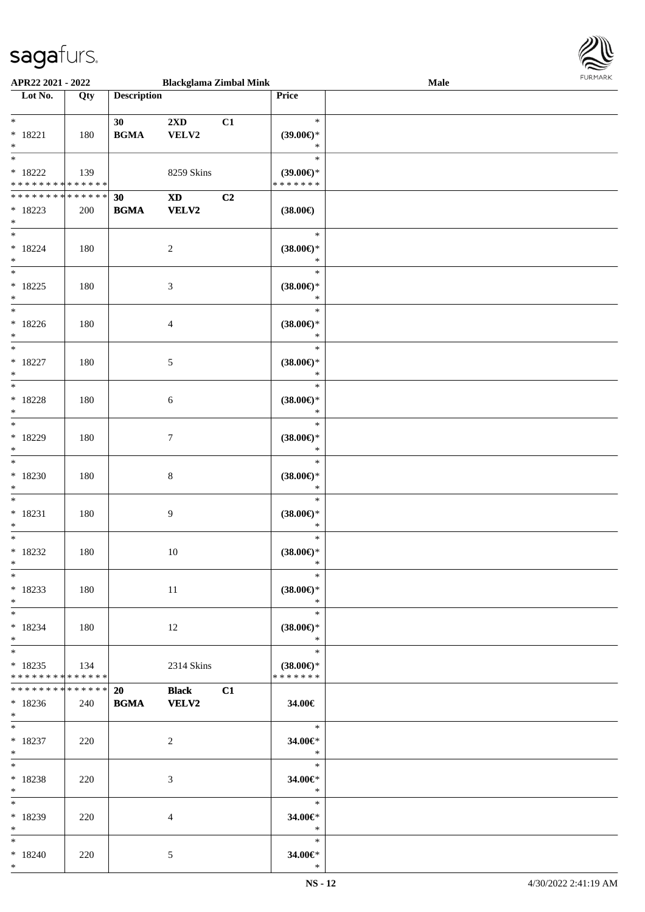

| APR22 2021 - 2022                          |     |                                            | <b>Blackglama Zimbal Mink</b> |    |                          | Male |  |
|--------------------------------------------|-----|--------------------------------------------|-------------------------------|----|--------------------------|------|--|
| Lot No.                                    | Qty | <b>Description</b>                         |                               |    | Price                    |      |  |
|                                            |     |                                            |                               |    |                          |      |  |
| $*$                                        |     | 30                                         | $2\mathbf{X}\mathbf{D}$       | C1 | $\ast$                   |      |  |
| $* 18221$                                  | 180 | $\mathbf{B}\mathbf{G}\mathbf{M}\mathbf{A}$ | VELV2                         |    | $(39.00\epsilon)$ *      |      |  |
| $*$                                        |     |                                            |                               |    | $\ast$                   |      |  |
| $\overline{\ast}$                          |     |                                            |                               |    |                          |      |  |
|                                            |     |                                            |                               |    | $\ast$                   |      |  |
| $*18222$                                   | 139 |                                            | 8259 Skins                    |    | $(39.00\epsilon)$ *      |      |  |
| * * * * * * * * * * * * * * *              |     |                                            |                               |    | * * * * * * *            |      |  |
| * * * * * * * * <mark>* * * * * * *</mark> |     | 30                                         | $\mathbf{X}\mathbf{D}$        | C2 |                          |      |  |
| $* 18223$                                  | 200 | <b>BGMA</b>                                | <b>VELV2</b>                  |    | $(38.00\epsilon)$        |      |  |
| $\ast$                                     |     |                                            |                               |    |                          |      |  |
| $*$                                        |     |                                            |                               |    | $\ast$                   |      |  |
|                                            |     |                                            |                               |    |                          |      |  |
| $* 18224$                                  | 180 |                                            | $\overline{2}$                |    | $(38.00\epsilon)$ *      |      |  |
| $*$                                        |     |                                            |                               |    | $\ast$                   |      |  |
| $\overline{\ast}$                          |     |                                            |                               |    | $\ast$                   |      |  |
| $* 18225$                                  | 180 |                                            | $\mathfrak{Z}$                |    | $(38.00\epsilon)$ *      |      |  |
| $*$                                        |     |                                            |                               |    | $\ast$                   |      |  |
| $*$                                        |     |                                            |                               |    | $\ast$                   |      |  |
|                                            |     |                                            |                               |    |                          |      |  |
| $*18226$                                   | 180 |                                            | $\overline{4}$                |    | $(38.00\epsilon)$ *      |      |  |
| $\ast$                                     |     |                                            |                               |    | $\ast$                   |      |  |
| $\overline{\ast}$                          |     |                                            |                               |    | $\ast$                   |      |  |
| $* 18227$                                  | 180 |                                            | 5                             |    | $(38.00\epsilon)$ *      |      |  |
| $\ast$                                     |     |                                            |                               |    | $\ast$                   |      |  |
| $\overline{\ast}$                          |     |                                            |                               |    | $\ast$                   |      |  |
| $* 18228$                                  |     |                                            |                               |    |                          |      |  |
|                                            | 180 |                                            | 6                             |    | $(38.00\epsilon)$ *      |      |  |
| $\ast$<br>$\overline{\phantom{0}}$         |     |                                            |                               |    | $\ast$                   |      |  |
|                                            |     |                                            |                               |    | $\ast$                   |      |  |
| * 18229                                    | 180 |                                            | $\tau$                        |    | $(38.00\epsilon)$ *      |      |  |
| $\ast$                                     |     |                                            |                               |    | $\ast$                   |      |  |
| $\ast$                                     |     |                                            |                               |    | $\ast$                   |      |  |
| $*18230$                                   | 180 |                                            | $\,8\,$                       |    | $(38.00\epsilon)$ *      |      |  |
| $\ast$                                     |     |                                            |                               |    | $\ast$                   |      |  |
| $\ast$                                     |     |                                            |                               |    | $\ast$                   |      |  |
|                                            |     |                                            |                               |    |                          |      |  |
| $* 18231$                                  | 180 |                                            | 9                             |    | $(38.00\epsilon)$ *      |      |  |
| $\ast$                                     |     |                                            |                               |    | $\ast$                   |      |  |
| $\ast$                                     |     |                                            |                               |    | $\ast$                   |      |  |
| $*18232$                                   | 180 |                                            | 10                            |    | $(38.00\epsilon)$ *      |      |  |
| $\ddot{x}$                                 |     |                                            |                               |    | $\ast$                   |      |  |
| $\ast$                                     |     |                                            |                               |    | $*$                      |      |  |
|                                            |     |                                            |                               |    |                          |      |  |
| * 18233                                    | 180 |                                            | 11                            |    | $(38.00\epsilon)$ *      |      |  |
| $*$                                        |     |                                            |                               |    | $\ast$                   |      |  |
| $*$ $-$                                    |     |                                            |                               |    | $\ast$                   |      |  |
| $*18234$                                   | 180 |                                            | 12                            |    | $(38.00\epsilon)$ *      |      |  |
| $\ddot{x}$                                 |     |                                            |                               |    | $\ddot{\ast}$            |      |  |
| $*$                                        |     |                                            |                               |    | $\ast$                   |      |  |
| $*18235$                                   | 134 |                                            | 2314 Skins                    |    | $(38.00\epsilon)$ *      |      |  |
| * * * * * * * * <mark>* * * * * *</mark>   |     |                                            |                               |    | * * * * * * *            |      |  |
| * * * * * * * * <mark>* * * * * * *</mark> |     |                                            |                               |    |                          |      |  |
|                                            |     | 20                                         | Black C1                      |    |                          |      |  |
| $*18236$                                   | 240 | <b>BGMA</b>                                | <b>VELV2</b>                  |    | 34.00€                   |      |  |
| $*$ $-$                                    |     |                                            |                               |    |                          |      |  |
| $*$ $*$                                    |     |                                            |                               |    | $\overline{\phantom{0}}$ |      |  |
| $*18237$                                   | 220 |                                            | 2                             |    | 34.00€*                  |      |  |
| $*$                                        |     |                                            |                               |    | $\ast$                   |      |  |
| $*$ $-$                                    |     |                                            |                               |    | $\overline{\phantom{a}}$ |      |  |
|                                            |     |                                            |                               |    |                          |      |  |
| * 18238                                    | 220 |                                            | 3                             |    | 34.00€*                  |      |  |
| $\ast$                                     |     |                                            |                               |    | $\ast$                   |      |  |
| $*$ $*$                                    |     |                                            |                               |    | $\ast$                   |      |  |
| * 18239                                    | 220 |                                            | $\overline{4}$                |    | 34.00€*                  |      |  |
| $*$                                        |     |                                            |                               |    | $\mathbb{R}^n$           |      |  |
| $*$ $*$                                    |     |                                            |                               |    | $\ast$                   |      |  |
| $*18240$                                   | 220 |                                            | 5                             |    | 34.00€*                  |      |  |
| $\ast$                                     |     |                                            |                               |    | $\ast$                   |      |  |
|                                            |     |                                            |                               |    |                          |      |  |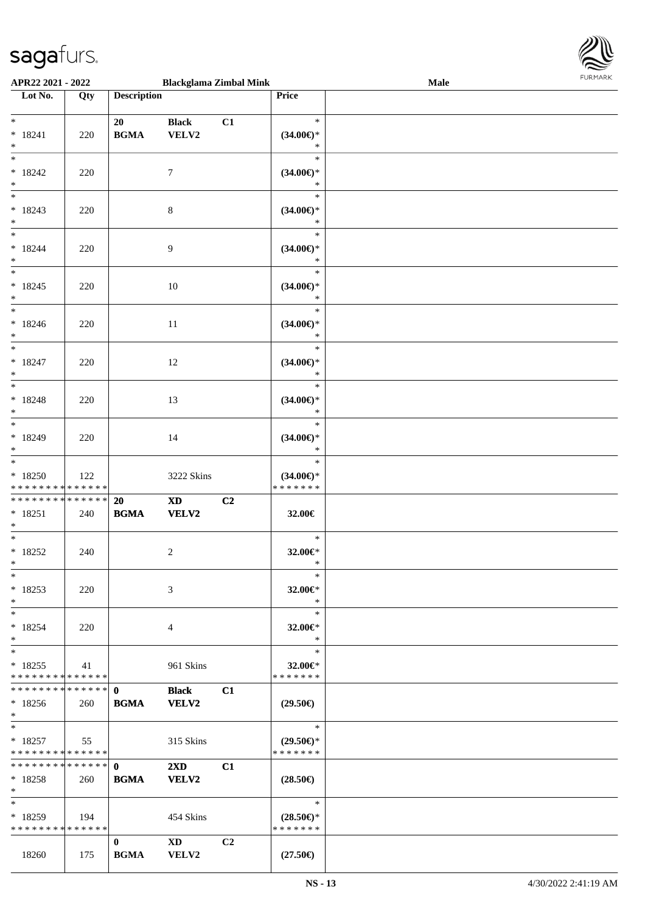

| APR22 2021 - 2022                  |     |                                            | <b>Blackglama Zimbal Mink</b>                                                                                                                                                                                                  |                |                                      | Male | 101111111111 |
|------------------------------------|-----|--------------------------------------------|--------------------------------------------------------------------------------------------------------------------------------------------------------------------------------------------------------------------------------|----------------|--------------------------------------|------|--------------|
| $\overline{\phantom{1}}$ Lot No.   | Qty | <b>Description</b>                         |                                                                                                                                                                                                                                |                | Price                                |      |              |
|                                    |     |                                            |                                                                                                                                                                                                                                |                |                                      |      |              |
| $*$ $*$                            |     | 20                                         | <b>Black</b>                                                                                                                                                                                                                   | C1             | $\ast$                               |      |              |
| $* 18241$                          | 220 | <b>BGMA</b>                                | VELV2                                                                                                                                                                                                                          |                | $(34.00\epsilon)$ *                  |      |              |
| $\ast$                             |     |                                            |                                                                                                                                                                                                                                |                | $\ast$                               |      |              |
| $*$                                |     |                                            |                                                                                                                                                                                                                                |                | $\ast$                               |      |              |
| $* 18242$                          | 220 |                                            | $\tau$                                                                                                                                                                                                                         |                | $(34.00\epsilon)$ *                  |      |              |
| $*$                                |     |                                            |                                                                                                                                                                                                                                |                | $\ast$                               |      |              |
|                                    |     |                                            |                                                                                                                                                                                                                                |                | $\ast$                               |      |              |
| $* 18243$                          |     |                                            |                                                                                                                                                                                                                                |                |                                      |      |              |
| $\ast$                             | 220 |                                            | $\,8\,$                                                                                                                                                                                                                        |                | $(34.00\epsilon)$ *<br>$\ast$        |      |              |
| $\overline{\ast}$                  |     |                                            |                                                                                                                                                                                                                                |                | $\ast$                               |      |              |
|                                    |     |                                            |                                                                                                                                                                                                                                |                |                                      |      |              |
| $* 18244$                          | 220 |                                            | $\overline{9}$                                                                                                                                                                                                                 |                | $(34.00\epsilon)$ *                  |      |              |
| $\ast$<br>$\overline{\phantom{0}}$ |     |                                            |                                                                                                                                                                                                                                |                | $\ast$                               |      |              |
|                                    |     |                                            |                                                                                                                                                                                                                                |                | $\ast$                               |      |              |
| $* 18245$                          | 220 |                                            | 10                                                                                                                                                                                                                             |                | $(34.00\epsilon)$ *                  |      |              |
| $*$                                |     |                                            |                                                                                                                                                                                                                                |                | $\ast$                               |      |              |
| $*$                                |     |                                            |                                                                                                                                                                                                                                |                | $\ast$                               |      |              |
| $* 18246$                          | 220 |                                            | 11                                                                                                                                                                                                                             |                | $(34.00\epsilon)$ *                  |      |              |
| $*$                                |     |                                            |                                                                                                                                                                                                                                |                | $\ast$                               |      |              |
| $*$                                |     |                                            |                                                                                                                                                                                                                                |                | $\ast$                               |      |              |
| $* 18247$                          | 220 |                                            | 12                                                                                                                                                                                                                             |                | $(34.00\epsilon)$ *                  |      |              |
| $*$                                |     |                                            |                                                                                                                                                                                                                                |                | $\ast$                               |      |              |
| $\overline{\phantom{0}}$           |     |                                            |                                                                                                                                                                                                                                |                | $\ast$                               |      |              |
| $* 18248$                          | 220 |                                            | 13                                                                                                                                                                                                                             |                | $(34.00\epsilon)$ *                  |      |              |
| $*$                                |     |                                            |                                                                                                                                                                                                                                |                | $\ast$                               |      |              |
|                                    |     |                                            |                                                                                                                                                                                                                                |                | $\ast$                               |      |              |
| * 18249                            | 220 |                                            | 14                                                                                                                                                                                                                             |                | $(34.00\epsilon)$ *                  |      |              |
| $*$                                |     |                                            |                                                                                                                                                                                                                                |                | $\ast$                               |      |              |
|                                    |     |                                            |                                                                                                                                                                                                                                |                | $\ast$                               |      |              |
| $*18250$                           |     |                                            |                                                                                                                                                                                                                                |                |                                      |      |              |
| * * * * * * * * * * * * * *        | 122 |                                            | 3222 Skins                                                                                                                                                                                                                     |                | $(34.00\epsilon)$ *<br>* * * * * * * |      |              |
| ******** <mark>******</mark>       |     |                                            |                                                                                                                                                                                                                                |                |                                      |      |              |
|                                    |     | 20                                         | $\mathbf{X}\mathbf{D}$                                                                                                                                                                                                         | C2             |                                      |      |              |
| $* 18251$                          | 240 | $\mathbf{B}\mathbf{G}\mathbf{M}\mathbf{A}$ | <b>VELV2</b>                                                                                                                                                                                                                   |                | 32.00€                               |      |              |
| $*$                                |     |                                            |                                                                                                                                                                                                                                |                |                                      |      |              |
| $*$                                |     |                                            |                                                                                                                                                                                                                                |                | $\ast$                               |      |              |
| $* 18252$                          | 240 |                                            | 2                                                                                                                                                                                                                              |                | 32.00€*                              |      |              |
| $*$ $-$                            |     |                                            |                                                                                                                                                                                                                                |                | $\ast$                               |      |              |
| $*$                                |     |                                            |                                                                                                                                                                                                                                |                | $\ast$                               |      |              |
| * 18253                            | 220 |                                            | 3                                                                                                                                                                                                                              |                | 32.00€*                              |      |              |
| $*$                                |     |                                            |                                                                                                                                                                                                                                |                | $\ast$                               |      |              |
| $*$                                |     |                                            |                                                                                                                                                                                                                                |                | $\ast$                               |      |              |
| $* 18254$                          | 220 |                                            | 4                                                                                                                                                                                                                              |                | 32.00 $\in$ *                        |      |              |
| $*$                                |     |                                            |                                                                                                                                                                                                                                |                | $\ast$                               |      |              |
| $*$                                |     |                                            |                                                                                                                                                                                                                                |                | $\ast$                               |      |              |
| $* 18255$                          | 41  |                                            | 961 Skins                                                                                                                                                                                                                      |                | 32.00€*                              |      |              |
| * * * * * * * * * * * * * * *      |     |                                            |                                                                                                                                                                                                                                |                | * * * * * * *                        |      |              |
| ************** 0                   |     |                                            | <b>Black</b>                                                                                                                                                                                                                   | C1             |                                      |      |              |
| $* 18256$                          | 260 | <b>BGMA</b>                                | VELV2                                                                                                                                                                                                                          |                | $(29.50\epsilon)$                    |      |              |
| $*$                                |     |                                            |                                                                                                                                                                                                                                |                |                                      |      |              |
| $*$                                |     |                                            |                                                                                                                                                                                                                                |                | $\ast$                               |      |              |
| $*18257$                           | 55  |                                            | 315 Skins                                                                                                                                                                                                                      |                | $(29.50\epsilon)$ *                  |      |              |
| * * * * * * * * * * * * * * *      |     |                                            |                                                                                                                                                                                                                                |                | * * * * * * *                        |      |              |
|                                    |     |                                            | $2\mathbf{X}\mathbf{D}$                                                                                                                                                                                                        | C1             |                                      |      |              |
| $*18258$                           | 260 | <b>BGMA</b>                                | <b>VELV2</b>                                                                                                                                                                                                                   |                | $(28.50\epsilon)$                    |      |              |
| $*$ $-$                            |     |                                            |                                                                                                                                                                                                                                |                |                                      |      |              |
| $*$                                |     |                                            |                                                                                                                                                                                                                                |                | $\ast$                               |      |              |
|                                    |     |                                            |                                                                                                                                                                                                                                |                |                                      |      |              |
| $*18259$                           | 194 |                                            | 454 Skins                                                                                                                                                                                                                      |                | $(28.50\epsilon)$ *                  |      |              |
| * * * * * * * * * * * * * * *      |     |                                            |                                                                                                                                                                                                                                |                | * * * * * * *                        |      |              |
|                                    |     | $\mathbf{0}$                               | XD and the same state of the state of the state of the state of the state of the state of the state of the state of the state of the state of the state of the state of the state of the state of the state of the state of th | C <sub>2</sub> |                                      |      |              |
| 18260                              | 175 | <b>BGMA</b>                                | <b>VELV2</b>                                                                                                                                                                                                                   |                | $(27.50\epsilon)$                    |      |              |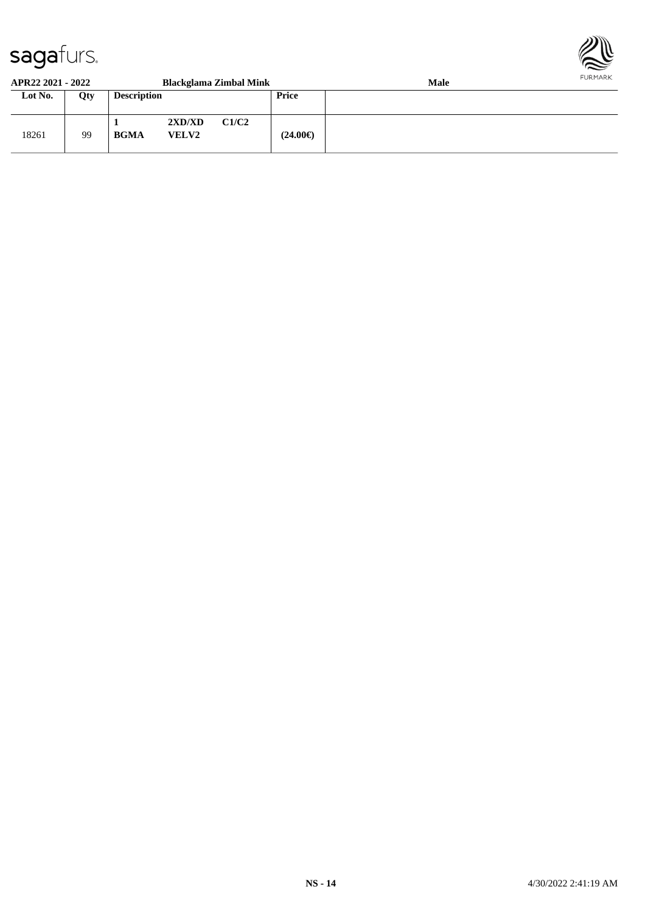

#### **APR22 2021 - 2022 Blackglama Zimbal Mink Male Lot No. Qty Description Price** 18261 99 **1 2XD/XD C1/C2 BGMA VELV2 (24.00€)**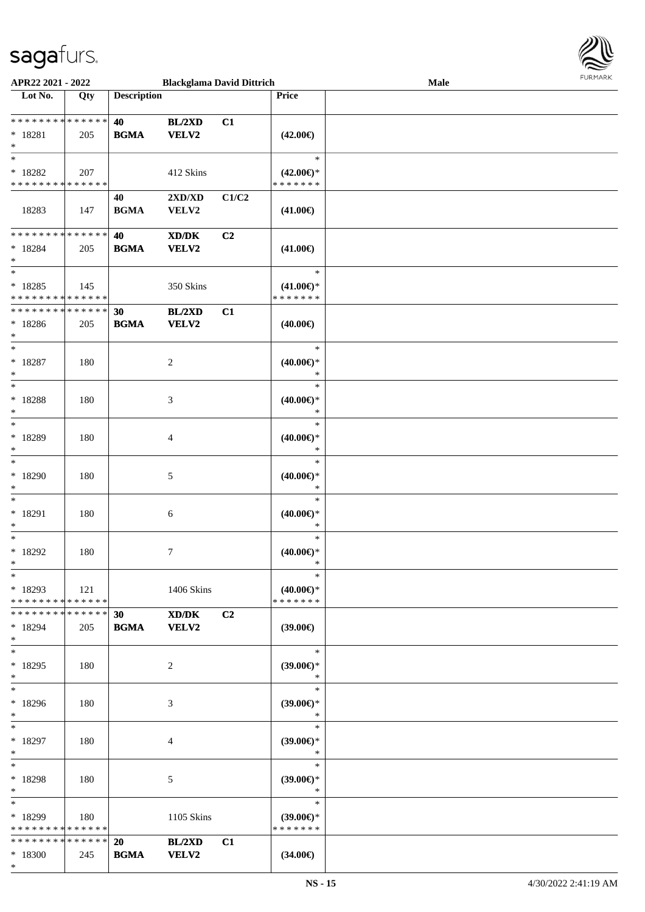

| APR22 2021 - 2022             |     |                    | <b>Blackglama David Dittrich</b>            |       |                               | Male | 1.9151111515 |
|-------------------------------|-----|--------------------|---------------------------------------------|-------|-------------------------------|------|--------------|
| Lot No.                       | Qty | <b>Description</b> |                                             |       | Price                         |      |              |
|                               |     |                    |                                             |       |                               |      |              |
| ******** <mark>******</mark>  |     | 40                 | BL/2XD                                      | C1    |                               |      |              |
| $* 18281$                     | 205 | <b>BGMA</b>        | <b>VELV2</b>                                |       | $(42.00\epsilon)$             |      |              |
| $\ast$                        |     |                    |                                             |       |                               |      |              |
| $\ast$                        |     |                    |                                             |       | $\ast$                        |      |              |
| $* 18282$                     | 207 |                    | 412 Skins                                   |       | $(42.00\epsilon)$ *           |      |              |
| * * * * * * * * * * * * * *   |     |                    |                                             |       | * * * * * * *                 |      |              |
|                               |     | 40                 | 2XD/XD                                      | C1/C2 |                               |      |              |
| 18283                         | 147 | <b>BGMA</b>        | VELV2                                       |       | $(41.00\epsilon)$             |      |              |
|                               |     |                    |                                             |       |                               |      |              |
| * * * * * * * * * * * * * *   |     | 40                 | $\mathbf{X}\mathbf{D}/\mathbf{D}\mathbf{K}$ | C2    |                               |      |              |
| $* 18284$                     | 205 | <b>BGMA</b>        | <b>VELV2</b>                                |       | $(41.00\epsilon)$             |      |              |
| $\ast$                        |     |                    |                                             |       |                               |      |              |
| $\ast$                        |     |                    |                                             |       | $\ast$                        |      |              |
| $* 18285$                     | 145 |                    | 350 Skins                                   |       | $(41.00\epsilon)$ *           |      |              |
| * * * * * * * * * * * * * *   |     |                    |                                             |       | * * * * * * *                 |      |              |
| * * * * * * * * * * * * * *   |     | 30                 | BL/2XD                                      | C1    |                               |      |              |
| $*18286$                      | 205 | <b>BGMA</b>        | VELV2                                       |       | $(40.00\epsilon)$             |      |              |
| $\ast$                        |     |                    |                                             |       |                               |      |              |
| $\ast$                        |     |                    |                                             |       | $\ast$                        |      |              |
| $* 18287$                     | 180 |                    | $\sqrt{2}$                                  |       | $(40.00\epsilon)$ *           |      |              |
| $\ast$                        |     |                    |                                             |       | $\ast$                        |      |              |
| $\overline{\phantom{1}}$      |     |                    |                                             |       | $\ast$                        |      |              |
| $* 18288$                     | 180 |                    | $\mathfrak{Z}$                              |       | $(40.00\epsilon)$ *           |      |              |
| $\ast$                        |     |                    |                                             |       | $\ast$                        |      |              |
| $\overline{\ast}$             |     |                    |                                             |       | $\ast$                        |      |              |
|                               |     |                    |                                             |       |                               |      |              |
| * 18289<br>$\ast$             | 180 |                    | 4                                           |       | $(40.00\epsilon)$ *<br>$\ast$ |      |              |
| $\ast$                        |     |                    |                                             |       | $\ast$                        |      |              |
|                               |     |                    |                                             |       |                               |      |              |
| $*18290$                      | 180 |                    | $\sqrt{5}$                                  |       | $(40.00\epsilon)$ *           |      |              |
| $\ast$<br>$\ast$              |     |                    |                                             |       | $\ast$                        |      |              |
|                               |     |                    |                                             |       | $\ast$                        |      |              |
| $* 18291$                     | 180 |                    | $\sqrt{6}$                                  |       | $(40.00\epsilon)$ *           |      |              |
| $\ast$<br>$\ast$              |     |                    |                                             |       | $\ast$                        |      |              |
|                               |     |                    |                                             |       | $\ast$                        |      |              |
| $*18292$                      | 180 |                    | $\boldsymbol{7}$                            |       | $(40.00\epsilon)$ *           |      |              |
| $\ast$                        |     |                    |                                             |       | $\ast$                        |      |              |
| $\ast$                        |     |                    |                                             |       | $\ast$                        |      |              |
| $*18293$                      | 121 |                    | 1406 Skins                                  |       | $(40.00€)$ *                  |      |              |
| * * * * * * * * * * * * * * * |     |                    |                                             |       | * * * * * * *                 |      |              |
| ******** <mark>******</mark>  |     | 30 <sup>°</sup>    | $\mathbf{X}\mathbf{D}/\mathbf{D}\mathbf{K}$ | C2    |                               |      |              |
| $*18294$                      | 205 | <b>BGMA</b>        | VELV2                                       |       | $(39.00\epsilon)$             |      |              |
| $\ast$                        |     |                    |                                             |       |                               |      |              |
| $\ast$                        |     |                    |                                             |       | $\ast$                        |      |              |
| $*18295$                      | 180 |                    | 2                                           |       | $(39.00\epsilon)$ *           |      |              |
| $\ast$                        |     |                    |                                             |       | $\ast$                        |      |              |
| $\ast$                        |     |                    |                                             |       | $\ast$                        |      |              |
| $*18296$                      | 180 |                    | 3                                           |       | $(39.00\epsilon)$ *           |      |              |
| $\ast$                        |     |                    |                                             |       | $\ast$                        |      |              |
| $\ast$                        |     |                    |                                             |       | $\ast$                        |      |              |
| $*18297$                      | 180 |                    | 4                                           |       | $(39.00\epsilon)$ *           |      |              |
| $\ast$                        |     |                    |                                             |       | $\ast$                        |      |              |
| $\ast$                        |     |                    |                                             |       | $\ast$                        |      |              |
| * 18298                       | 180 |                    | $\sqrt{5}$                                  |       | $(39.00\epsilon)$ *           |      |              |
| $\ast$                        |     |                    |                                             |       | $\ast$                        |      |              |
| $\ast$                        |     |                    |                                             |       | $\ast$                        |      |              |
| $*18299$                      | 180 |                    | 1105 Skins                                  |       | $(39.00\epsilon)$ *           |      |              |
| * * * * * * * * * * * * * *   |     |                    |                                             |       | * * * * * * *                 |      |              |
| ******** <mark>******</mark>  |     | 20                 | BL/2XD                                      | C1    |                               |      |              |
| $*18300$                      | 245 | <b>BGMA</b>        | VELV2                                       |       | $(34.00\epsilon)$             |      |              |
| $*$                           |     |                    |                                             |       |                               |      |              |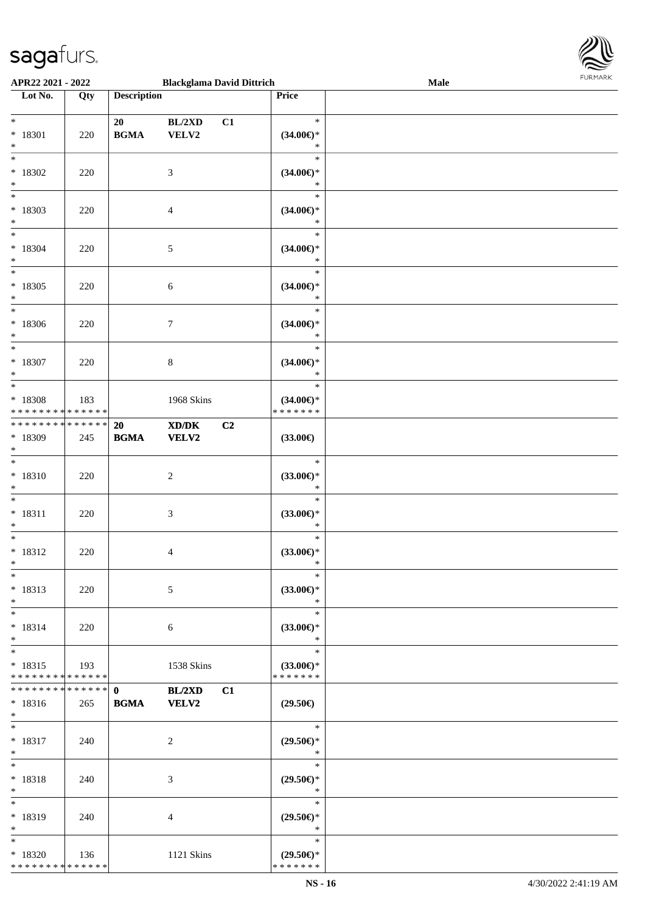

| APR22 2021 - 2022                          |     |                                            | <b>Blackglama David Dittrich</b>    |    |                     | Male |
|--------------------------------------------|-----|--------------------------------------------|-------------------------------------|----|---------------------|------|
| Lot No.                                    | Qty | <b>Description</b>                         |                                     |    | Price               |      |
|                                            |     |                                            |                                     |    |                     |      |
| $\ast$                                     |     | 20                                         | BL/2XD                              | C1 | $\ast$              |      |
| * 18301                                    | 220 | $\mathbf{B}\mathbf{G}\mathbf{M}\mathbf{A}$ | VELV2                               |    | $(34.00\epsilon)$ * |      |
| $\ast$                                     |     |                                            |                                     |    | $\ast$              |      |
| $\overline{\ast}$                          |     |                                            |                                     |    | $\ast$              |      |
| $*18302$                                   | 220 |                                            | $\mathfrak{Z}$                      |    | $(34.00\epsilon)$ * |      |
| $\ast$                                     |     |                                            |                                     |    | $\ast$              |      |
| $\overline{\phantom{a}^*}$                 |     |                                            |                                     |    | $\ast$              |      |
| $* 18303$                                  | 220 |                                            | $\overline{4}$                      |    | $(34.00ε)$ *        |      |
| $\ast$                                     |     |                                            |                                     |    | $\ast$              |      |
| $\overline{\phantom{a}^*}$                 |     |                                            |                                     |    | $\ast$              |      |
| $* 18304$                                  | 220 |                                            | 5                                   |    | $(34.00ε)$ *        |      |
| $\ast$                                     |     |                                            |                                     |    | $\ast$              |      |
| $_{\ast}^{-}$                              |     |                                            |                                     |    | $\ast$              |      |
| $* 18305$                                  | 220 |                                            | $\sqrt{6}$                          |    | $(34.00\epsilon)$ * |      |
| $\ast$                                     |     |                                            |                                     |    | $\ast$              |      |
| $_{*}$                                     |     |                                            |                                     |    | $\ast$              |      |
| $*18306$                                   | 220 |                                            | $\tau$                              |    | $(34.00\epsilon)$ * |      |
| $\ast$                                     |     |                                            |                                     |    | $\ast$              |      |
| $_{\ast}$                                  |     |                                            |                                     |    | $\ast$              |      |
| $* 18307$                                  | 220 |                                            | $\,8\,$                             |    | $(34.00\epsilon)$ * |      |
| $\ast$                                     |     |                                            |                                     |    | $\ast$              |      |
| $*$                                        |     |                                            |                                     |    | $\ast$              |      |
| * 18308                                    | 183 |                                            | 1968 Skins                          |    | $(34.00\epsilon)$ * |      |
| * * * * * * * * <mark>* * * * * * *</mark> |     |                                            |                                     |    | * * * * * * *       |      |
| * * * * * * * * * * * * * *                |     | 20                                         | $\bold{X}\bold{D}/\bold{D}\bold{K}$ | C2 |                     |      |
| * 18309                                    | 245 | $\mathbf{B}\mathbf{G}\mathbf{M}\mathbf{A}$ | VELV2                               |    | $(33.00\in)$        |      |
| $\ast$                                     |     |                                            |                                     |    |                     |      |
| $\overline{\phantom{1}}$                   |     |                                            |                                     |    | $\ast$              |      |
| $* 18310$                                  | 220 |                                            | $\boldsymbol{2}$                    |    | $(33.00\epsilon)$ * |      |
| $\ast$                                     |     |                                            |                                     |    | $\ast$              |      |
| $\ast$                                     |     |                                            |                                     |    | $\ast$              |      |
| $* 18311$                                  | 220 |                                            | $\mathfrak{Z}$                      |    | $(33.00\epsilon)$ * |      |
| $\ast$                                     |     |                                            |                                     |    | $\ast$              |      |
| $\ast$                                     |     |                                            |                                     |    | $\ast$              |      |
| $* 18312$                                  | 220 |                                            | 4                                   |    | $(33.00\epsilon)$ * |      |
| $*$                                        |     |                                            |                                     |    | $\ast$              |      |
| $*$                                        |     |                                            |                                     |    | $\ast$              |      |
| $* 18313$                                  | 220 |                                            | 5                                   |    | $(33.00\epsilon)$ * |      |
| $\ast$                                     |     |                                            |                                     |    | $\ast$              |      |
| $\ast$                                     |     |                                            |                                     |    | $\ast$              |      |
| $* 18314$                                  | 220 |                                            | 6                                   |    | $(33.00\epsilon)$ * |      |
| $\ast$                                     |     |                                            |                                     |    | $\ast$              |      |
| $\ast$                                     |     |                                            |                                     |    | $\ast$              |      |
| $* 18315$                                  | 193 |                                            | 1538 Skins                          |    | $(33.00\epsilon)$ * |      |
| * * * * * * * * * * * * * *                |     |                                            |                                     |    | * * * * * * *       |      |
| **************                             |     | $\mathbf{0}$                               | BL/2XD                              | C1 |                     |      |
| $* 18316$                                  | 265 | <b>BGMA</b>                                | <b>VELV2</b>                        |    | $(29.50\epsilon)$   |      |
| $*$                                        |     |                                            |                                     |    |                     |      |
| $*$                                        |     |                                            |                                     |    | $\ast$              |      |
| $* 18317$                                  | 240 |                                            | $\overline{2}$                      |    | $(29.50\epsilon)$ * |      |
| $*$                                        |     |                                            |                                     |    | $\ast$              |      |
| $\ast$                                     |     |                                            |                                     |    | $\ast$              |      |
| $* 18318$                                  | 240 |                                            | 3                                   |    | $(29.50\epsilon)$ * |      |
| $\ast$<br>$\ast$                           |     |                                            |                                     |    | $\ast$              |      |
|                                            |     |                                            |                                     |    | $\ast$              |      |
| * 18319                                    | 240 |                                            | 4                                   |    | $(29.50\epsilon)$ * |      |
| $\ast$                                     |     |                                            |                                     |    | $\ast$              |      |
| $*$                                        |     |                                            |                                     |    | $\ast$              |      |
| $* 18320$                                  | 136 |                                            | 1121 Skins                          |    | $(29.50\epsilon)$ * |      |
| * * * * * * * * * * * * * *                |     |                                            |                                     |    | * * * * * * *       |      |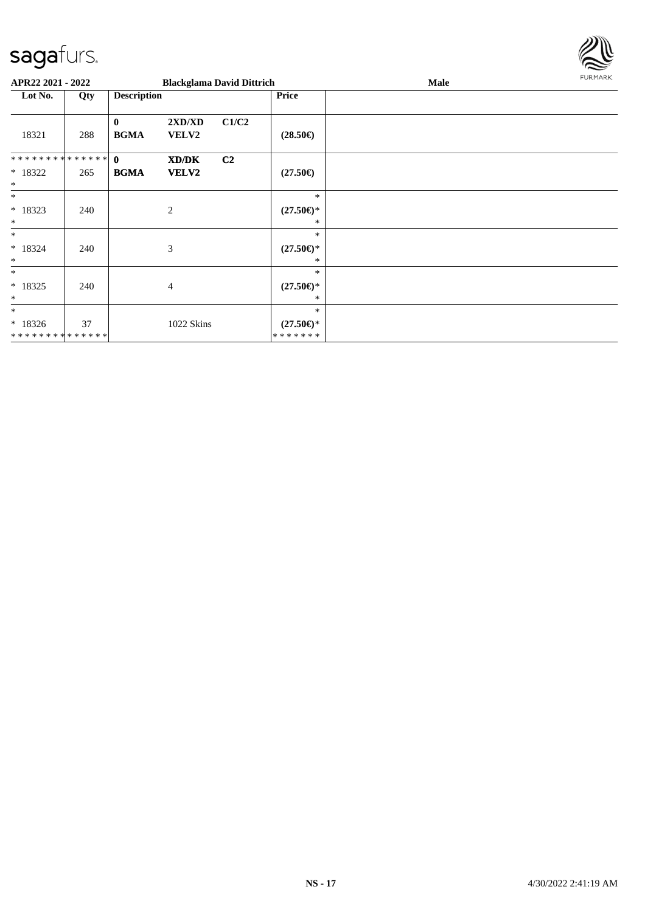

| APR22 2021 - 2022            |     |                         |                        | <b>Blackglama David Dittrich</b> |                                | Male | FURMARK |
|------------------------------|-----|-------------------------|------------------------|----------------------------------|--------------------------------|------|---------|
| Lot No.                      | Qty | <b>Description</b>      |                        |                                  | <b>Price</b>                   |      |         |
| 18321                        | 288 | $\bf{0}$<br><b>BGMA</b> | 2XD/XD<br><b>VELV2</b> | C1/C2                            | $(28.50\epsilon)$              |      |         |
| ******** <mark>******</mark> |     | $\mathbf{0}$            | XD/DK                  | C2                               |                                |      |         |
| * 18322<br>$\ast$            | 265 | <b>BGMA</b>             | <b>VELV2</b>           |                                  | $(27.50\epsilon)$              |      |         |
| $\ast$                       |     |                         |                        |                                  | $\ast$                         |      |         |
| $* 18323$<br>$\ast$          | 240 |                         | $\overline{c}$         |                                  | $(27.50\epsilon)$ *<br>*       |      |         |
| $\ast$                       |     |                         |                        |                                  | $\ast$                         |      |         |
| $* 18324$<br>$\ast$          | 240 |                         | 3                      |                                  | $(27.50\epsilon)$ *<br>*       |      |         |
| $\ast$                       |     |                         |                        |                                  | $\ast$                         |      |         |
| * 18325<br>$\ast$            | 240 |                         | 4                      |                                  | $(27.50\epsilon)$ *<br>*       |      |         |
| $\ast$                       |     |                         |                        |                                  | $\ast$                         |      |         |
| $*18326$<br>**************   | 37  |                         | 1022 Skins             |                                  | $(27.50\epsilon)$ *<br>******* |      |         |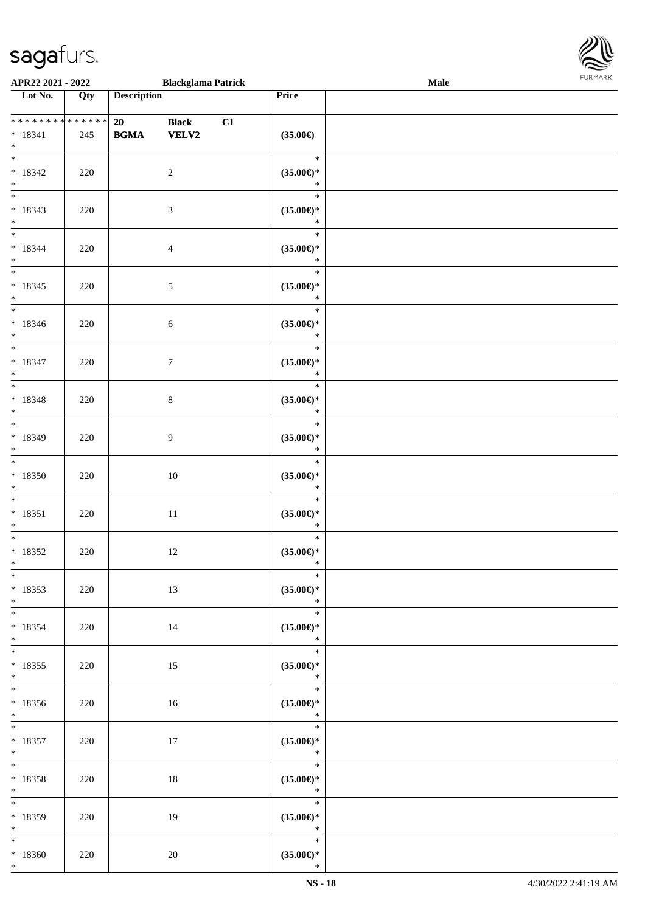

| APR22 2021 - 2022                                           |     |                                                  | <b>Blackglama Patrick</b>    |    |                                                   | <b>Male</b> |  |
|-------------------------------------------------------------|-----|--------------------------------------------------|------------------------------|----|---------------------------------------------------|-------------|--|
| $\overline{\phantom{1}}$ Lot No.                            | Qty | <b>Description</b>                               |                              |    | Price                                             |             |  |
| **************<br>$* 18341$<br>$\ast$                       | 245 | 20<br>$\mathbf{B}\mathbf{G}\mathbf{M}\mathbf{A}$ | <b>Black</b><br><b>VELV2</b> | C1 | $(35.00\epsilon)$                                 |             |  |
| $\overline{\phantom{0}}$<br>$* 18342$<br>$\ast$             | 220 |                                                  | $\overline{c}$               |    | $\ast$<br>$(35.00\epsilon)$ *<br>$\ast$           |             |  |
| $\ast$<br>$* 18343$<br>$\ast$                               | 220 |                                                  | $\mathfrak{Z}$               |    | $\ast$<br>$(35.00\epsilon)$ *<br>$\ast$           |             |  |
| $\overline{\phantom{0}}$<br>$* 18344$<br>$\ast$             | 220 |                                                  | $\overline{4}$               |    | $\ast$<br>$(35.00\epsilon)$ *<br>$\ast$           |             |  |
| $\overline{\phantom{a}^*}$<br>$* 18345$<br>$\ast$           | 220 |                                                  | $\sqrt{5}$                   |    | $\ast$<br>$(35.00\epsilon)$ *<br>$\ast$           |             |  |
| $\ast$<br>$* 18346$<br>$\ast$<br>$\overline{\phantom{a}^*}$ | 220 |                                                  | $\sqrt{6}$                   |    | $\ast$<br>$(35.00\epsilon)$ *<br>$\ast$           |             |  |
| $* 18347$<br>$\ast$<br>$_{\ast}$                            | 220 |                                                  | $\boldsymbol{7}$             |    | $\ast$<br>$(35.00\epsilon)$ *<br>$\ast$           |             |  |
| $* 18348$<br>$\ast$                                         | 220 |                                                  | $\,8\,$                      |    | $\ast$<br>$(35.00\epsilon)$ *<br>$\ast$           |             |  |
| $\ast$<br>* 18349<br>$\ast$<br>$_{\ast}^{-}$                | 220 |                                                  | 9                            |    | $\ast$<br>$(35.00\epsilon)$ *<br>$\ast$           |             |  |
| $*18350$<br>$\ast$                                          | 220 |                                                  | $10\,$                       |    | $\ast$<br>$(35.00\epsilon)$ *<br>$\ast$           |             |  |
| $\overline{\ast}$<br>$* 18351$<br>$\ast$                    | 220 |                                                  | $11\,$                       |    | $\ast$<br>$(35.00\in)\!\!^*$<br>$\ast$            |             |  |
| $\ast$<br>$*18352$<br>$*$                                   | 220 |                                                  | 12                           |    | $\ast$<br>$(35.00\epsilon)$ *<br>$\ast$<br>$\ast$ |             |  |
| $*$<br>$* 18353$<br>$*$<br>$\overline{\phantom{0}}$         | 220 |                                                  | 13                           |    | $(35.00\epsilon)$ *<br>$\ast$                     |             |  |
| $* 18354$<br>$\ast$                                         | 220 |                                                  | 14                           |    | $\ast$<br>$(35.00\epsilon)$ *<br>$\ast$           |             |  |
| $*$<br>$* 18355$<br>$*$<br>$*$                              | 220 |                                                  | 15                           |    | $\ast$<br>$(35.00\epsilon)$ *<br>$\ast$           |             |  |
| $*18356$<br>$*$<br>$\overline{\phantom{0}}$                 | 220 |                                                  | 16                           |    | $(35.00\epsilon)$ *<br>$\ast$<br>$\ast$           |             |  |
| $* 18357$<br>$*$ $*$                                        | 220 |                                                  | 17                           |    | $(35.00\epsilon)$ *<br>$\ast$<br>$\ast$           |             |  |
| $\ast$<br>$* 18358$<br>$*$<br>$\ast$                        | 220 |                                                  | 18                           |    | $(35.00\epsilon)$ *<br>$\ast$<br>$\ast$           |             |  |
| * 18359<br>$*$                                              | 220 |                                                  | 19                           |    | $(35.00\epsilon)$ *<br>$\star$                    |             |  |
| $\ast$<br>$*18360$<br>$*$                                   | 220 |                                                  | $20\,$                       |    | $\ast$<br>$(35.00\epsilon)$ *<br>$\ast$           |             |  |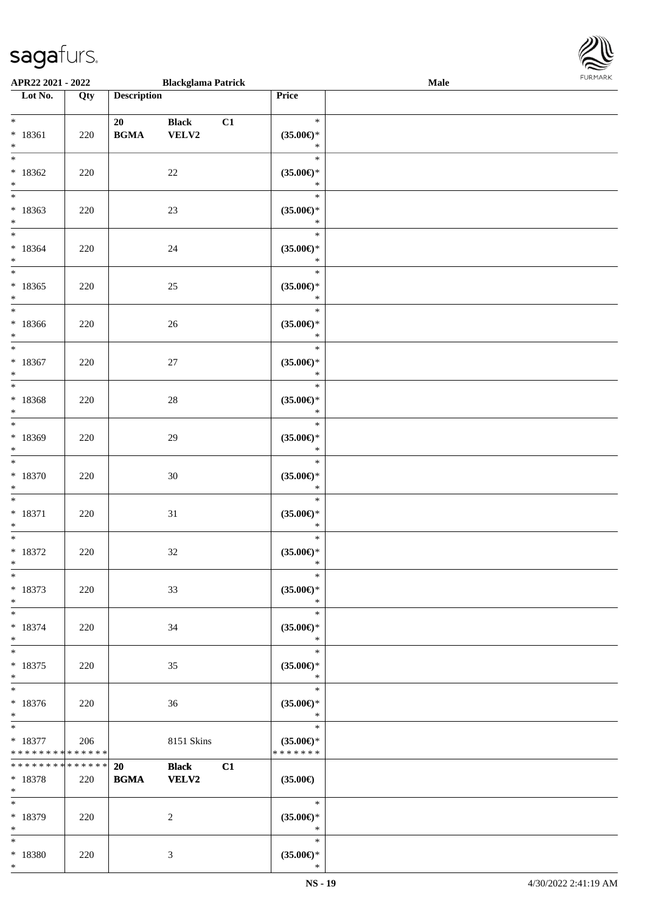| APR22 2021 - 2022                                   |     |                    | <b>Blackglama Patrick</b>    |    |                                                | Male | $\sim$<br><b>FURMARK</b> |
|-----------------------------------------------------|-----|--------------------|------------------------------|----|------------------------------------------------|------|--------------------------|
| $\overline{\phantom{1}}$ Lot No.                    | Qty | <b>Description</b> |                              |    | Price                                          |      |                          |
| $*$ $*$<br>$* 18361$<br>$\ast$                      | 220 | 20<br><b>BGMA</b>  | <b>Black</b><br>VELV2        | C1 | $\ast$<br>$(35.00\epsilon)$ *<br>$\ast$        |      |                          |
| $\overline{\ast}$<br>$*18362$<br>$\ast$             | 220 |                    | $22\,$                       |    | $\ast$<br>$(35.00\epsilon)$ *<br>$\ast$        |      |                          |
| $\overline{\phantom{0}}$<br>$*18363$<br>$\ast$      | 220 |                    | $23\,$                       |    | $\ast$<br>$(35.00\epsilon)$ *<br>$\ast$        |      |                          |
| $\overline{\ast}$<br>$*18364$<br>$\ast$             | 220 |                    | 24                           |    | $\ast$<br>$(35.00\epsilon)$ *<br>$\ast$        |      |                          |
| $\overline{\phantom{a}^*}$<br>$*18365$<br>$\ast$    | 220 |                    | $25\,$                       |    | $\ast$<br>$(35.00\epsilon)$ *<br>$\ast$        |      |                          |
| $\frac{1}{*}$<br>$*18366$<br>$\ast$                 | 220 |                    | 26                           |    | $\ast$<br>$(35.00\epsilon)$ *<br>$\ast$        |      |                          |
| $\overline{\ast}$<br>$* 18367$<br>$\ast$            | 220 |                    | $27\,$                       |    | $\ast$<br>$(35.00\epsilon)$ *<br>$\ast$        |      |                          |
| $\overline{\ast}$<br>$* 18368$<br>$\ast$            | 220 |                    | $28\,$                       |    | $\ast$<br>$(35.00\epsilon)$ *<br>$\ast$        |      |                          |
| $\overline{\phantom{a}^*}$<br>$*18369$<br>$\ast$    | 220 |                    | $29\,$                       |    | $\ast$<br>$(35.00\in)\!\!^*$<br>$\ast$         |      |                          |
| $\ast$<br>$*18370$<br>$\ast$                        | 220 |                    | $30\,$                       |    | $\ast$<br>$(35.00\in)\!\!^*$<br>$\ast$         |      |                          |
| $\ast$<br>$* 18371$<br>$\ast$                       | 220 |                    | $31\,$                       |    | $\ast$<br>$(35.00\epsilon)$ *<br>$\ast$        |      |                          |
| $\overline{\phantom{0}}$<br>$* 18372$<br>$\ast$     | 220 |                    | $32\,$                       |    | $\ast$<br>$(35.00\epsilon)$ *<br>$\ast$        |      |                          |
| $\overline{\ast}$<br>$* 18373$<br>$\ast$            | 220 |                    | 33                           |    | $\ast$<br>$(35.00\epsilon)$ *<br>$\ast$        |      |                          |
| $\ast$<br>$* 18374$<br>$\ast$                       | 220 |                    | 34                           |    | $\ast$<br>$(35.00\epsilon)$ *<br>$\ast$        |      |                          |
| $\ast$<br>$* 18375$<br>$*$                          | 220 |                    | 35                           |    | $\ast$<br>$(35.00\epsilon)$ *<br>$\ast$        |      |                          |
| $\ast$<br>$* 18376$<br>$\ast$                       | 220 |                    | 36                           |    | $\ast$<br>$(35.00\epsilon)$ *<br>$\ast$        |      |                          |
| $\ast$<br>$* 18377$<br>* * * * * * * * * * * * * *  | 206 |                    | 8151 Skins                   |    | $\ast$<br>$(35.00\epsilon)$ *<br>* * * * * * * |      |                          |
| ******** <mark>******</mark><br>$* 18378$<br>$\ast$ | 220 | 20<br><b>BGMA</b>  | <b>Black</b><br><b>VELV2</b> | C1 | $(35.00\epsilon)$                              |      |                          |
| $\ast$<br>* 18379<br>$\ast$                         | 220 |                    | $\overline{2}$               |    | $\ast$<br>$(35.00\epsilon)$ *<br>$\ast$        |      |                          |
| $*$<br>$* 18380$                                    | 220 |                    | 3                            |    | $\ast$<br>$(35.00\epsilon)$ *                  |      |                          |

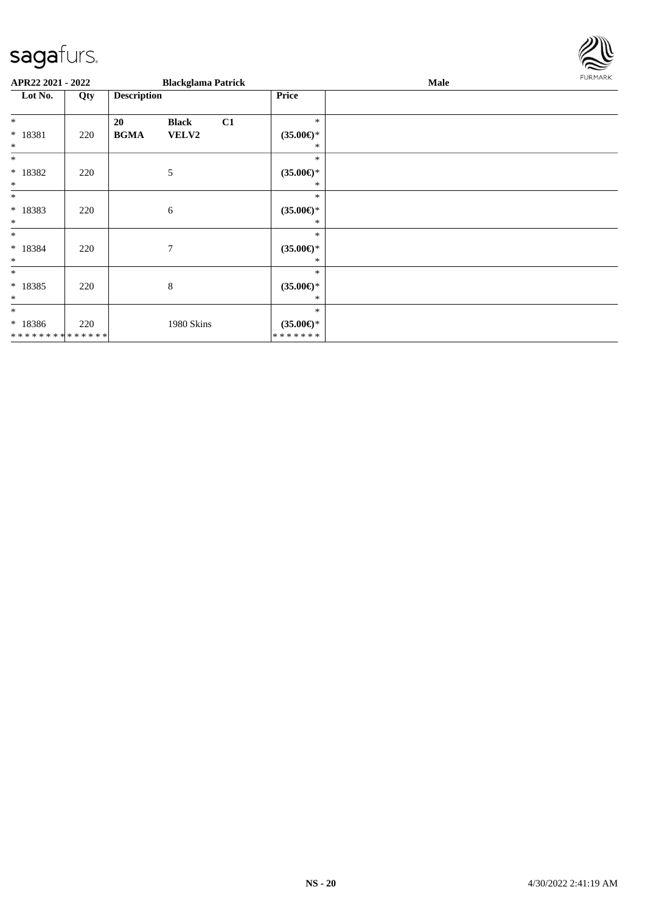

| APR22 2021 - 2022                                  |     |                    | <b>Blackglama Patrick</b> |    |                                                | Male | <b>FURMARK</b> |
|----------------------------------------------------|-----|--------------------|---------------------------|----|------------------------------------------------|------|----------------|
| Lot No.                                            | Qty | <b>Description</b> |                           |    | <b>Price</b>                                   |      |                |
| $*$                                                |     | 20                 | <b>Black</b>              | C1 | $\ast$                                         |      |                |
| * 18381<br>$\ast$                                  | 220 | <b>BGMA</b>        | VELV2                     |    | $(35.00\epsilon)$ *<br>∗                       |      |                |
| $*$<br>$* 18382$<br>$\ast$                         | 220 |                    | 5                         |    | $\ast$<br>$(35.00\epsilon)$ *<br>*             |      |                |
| $\ast$<br>$* 18383$<br>$*$                         | 220 |                    | 6                         |    | $\ast$<br>$(35.00\epsilon)$ *<br>*             |      |                |
| $*$<br>* 18384<br>$\ast$                           | 220 |                    | $\overline{7}$            |    | $\ast$<br>$(35.00\epsilon)$ *<br>∗             |      |                |
| $*$<br>$* 18385$<br>$\ast$                         | 220 |                    | 8                         |    | $\ast$<br>$(35.00\epsilon)$ *<br>∗             |      |                |
| $\ast$<br>$* 18386$<br>* * * * * * * * * * * * * * | 220 |                    | 1980 Skins                |    | $\ast$<br>$(35.00\epsilon)$ *<br>* * * * * * * |      |                |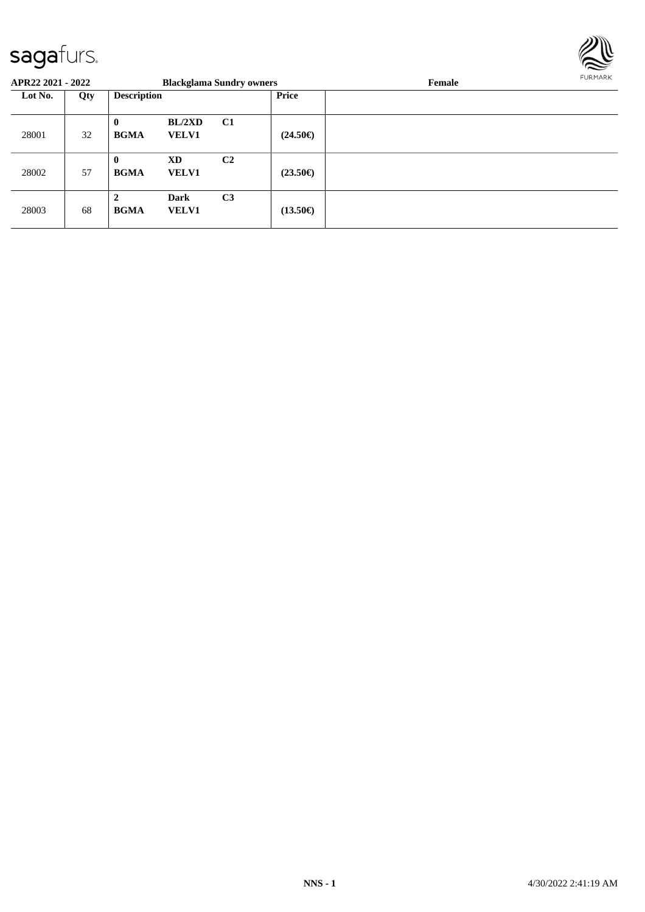

| APR22 2021 - 2022 |     |                             |                             | <b>Blackglama Sundry owners</b> |                   | Female | FURMARK |
|-------------------|-----|-----------------------------|-----------------------------|---------------------------------|-------------------|--------|---------|
| Lot No.           | Qty | <b>Description</b>          |                             |                                 | <b>Price</b>      |        |         |
| 28001             | 32  | $\mathbf{0}$<br><b>BGMA</b> | BL/2XD<br><b>VELV1</b>      | C1                              | $(24.50\epsilon)$ |        |         |
| 28002             | 57  | $\mathbf{0}$<br><b>BGMA</b> | XD<br><b>VELV1</b>          | C <sub>2</sub>                  | $(23.50\epsilon)$ |        |         |
| 28003             | 68  | $\mathbf{2}$<br><b>BGMA</b> | <b>Dark</b><br><b>VELV1</b> | C <sub>3</sub>                  | $(13.50\epsilon)$ |        |         |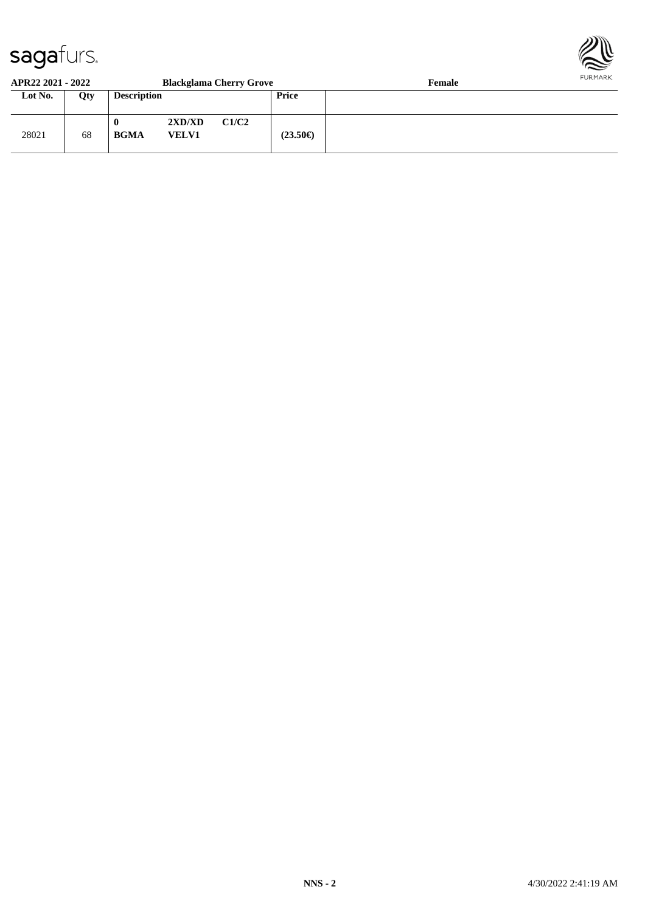

#### **APR22 2021 - 2022 Blackglama Cherry Grove Female**

| Lot No. | Qty | <b>Description</b> |                        |       | <b>Price</b>      |  |
|---------|-----|--------------------|------------------------|-------|-------------------|--|
| 28021   | 68  | 0<br><b>BGMA</b>   | 2XD/XD<br><b>VELV1</b> | C1/C2 | $(23.50\epsilon)$ |  |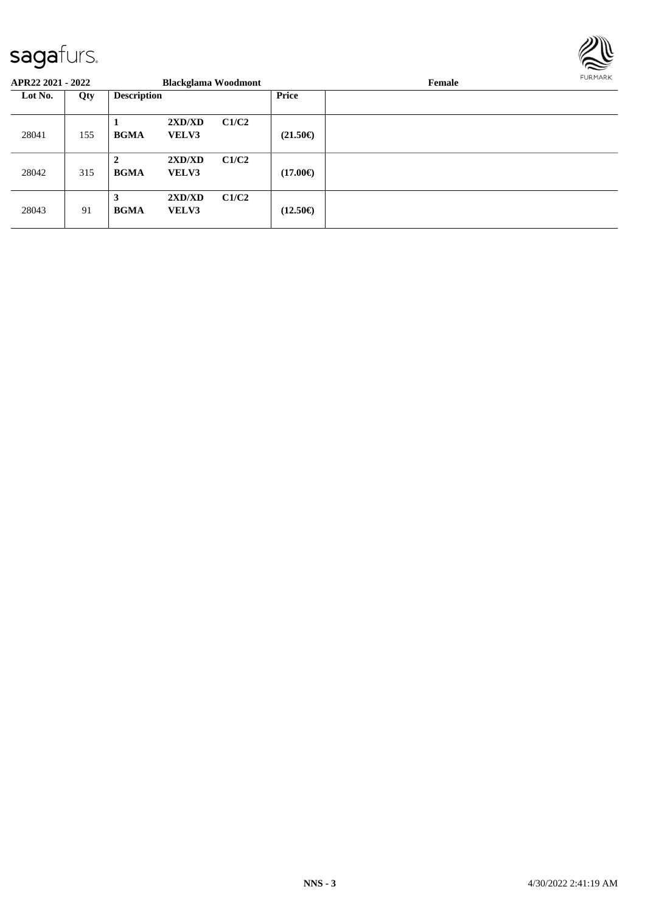

| APR22 2021 - 2022 |     |                             | <b>Blackglama Woodmont</b> |       |                   | Female | FURMARK |
|-------------------|-----|-----------------------------|----------------------------|-------|-------------------|--------|---------|
| Lot No.           | Qty | <b>Description</b>          |                            |       | <b>Price</b>      |        |         |
| 28041             | 155 | <b>BGMA</b>                 | 2XD/XD<br><b>VELV3</b>     | C1/C2 | $(21.50\epsilon)$ |        |         |
| 28042             | 315 | $\mathbf{2}$<br><b>BGMA</b> | 2XD/XD<br><b>VELV3</b>     | C1/C2 | $(17.00\epsilon)$ |        |         |
| 28043             | 91  | 3<br><b>BGMA</b>            | 2XD/XD<br><b>VELV3</b>     | C1/C2 | $(12.50\epsilon)$ |        |         |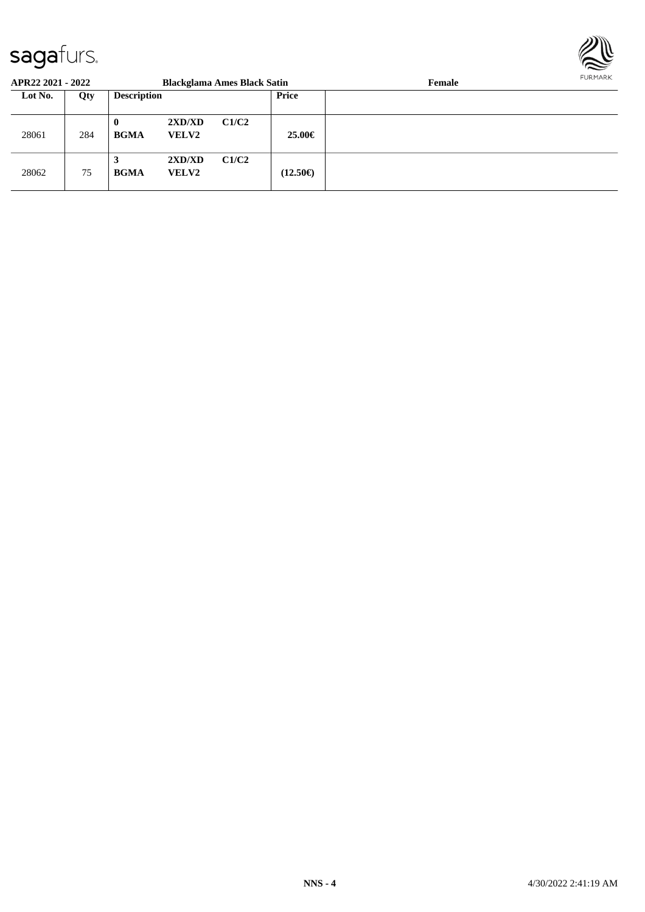

| APR22 2021 - 2022 |     |                         |                        | <b>Blackglama Ames Black Satin</b> |                   | Female | FURMARK |
|-------------------|-----|-------------------------|------------------------|------------------------------------|-------------------|--------|---------|
| Lot No.           | Qty | <b>Description</b>      |                        |                                    | <b>Price</b>      |        |         |
| 28061             | 284 | $\bf{0}$<br><b>BGMA</b> | 2XD/XD<br><b>VELV2</b> | C1/C2                              | 25.00€            |        |         |
| 28062             | 75  | <b>BGMA</b>             | 2XD/XD<br><b>VELV2</b> | C1/C2                              | $(12.50\epsilon)$ |        |         |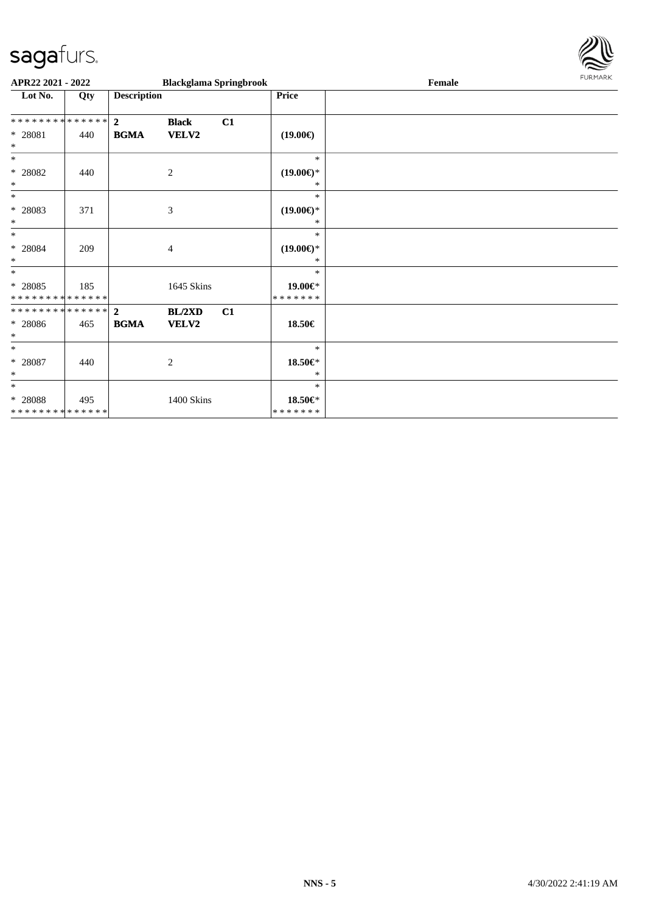

| APR22 2021 - 2022                        |     |                    | <b>Blackglama Springbrook</b> |    |                               | Female | FURMARK |
|------------------------------------------|-----|--------------------|-------------------------------|----|-------------------------------|--------|---------|
| Lot No.                                  | Qty | <b>Description</b> |                               |    | <b>Price</b>                  |        |         |
| ************** 2                         |     |                    | <b>Black</b>                  | C1 |                               |        |         |
| * 28081<br>$\ast$                        | 440 | <b>BGMA</b>        | <b>VELV2</b>                  |    | $(19.00\epsilon)$             |        |         |
| $\ast$                                   |     |                    |                               |    | $\ast$                        |        |         |
| $* 28082$<br>$\ast$                      | 440 |                    | $\overline{2}$                |    | $(19.00\epsilon)$ *<br>$\ast$ |        |         |
| $\ast$                                   |     |                    |                               |    | $\ast$                        |        |         |
| * 28083<br>$\ast$                        | 371 |                    | 3                             |    | $(19.00\epsilon)$ *<br>$\ast$ |        |         |
| $\ast$                                   |     |                    |                               |    | $\ast$                        |        |         |
| $* 28084$<br>$\ast$                      | 209 |                    | $\overline{4}$                |    | $(19.00\epsilon)$ *<br>*      |        |         |
| $*$                                      |     |                    |                               |    | $\ast$                        |        |         |
| $* 28085$<br>* * * * * * * * * * * * * * | 185 |                    | 1645 Skins                    |    | 19.00€*<br>* * * * * * *      |        |         |
| ******** <mark>******</mark> 2           |     |                    | <b>BL/2XD</b>                 | C1 |                               |        |         |
| $* 28086$<br>$\ast$                      | 465 | <b>BGMA</b>        | VELV2                         |    | 18.50€                        |        |         |
| $\ast$                                   |     |                    |                               |    | $\ast$                        |        |         |
| $* 28087$<br>$\ast$                      | 440 |                    | $\overline{2}$                |    | $18.50 \in$ *<br>*            |        |         |
| $\ast$                                   |     |                    |                               |    | $\ast$                        |        |         |
| $* 28088$<br>* * * * * * * * * * * * * * | 495 |                    | 1400 Skins                    |    | 18.50€*<br>* * * * * * *      |        |         |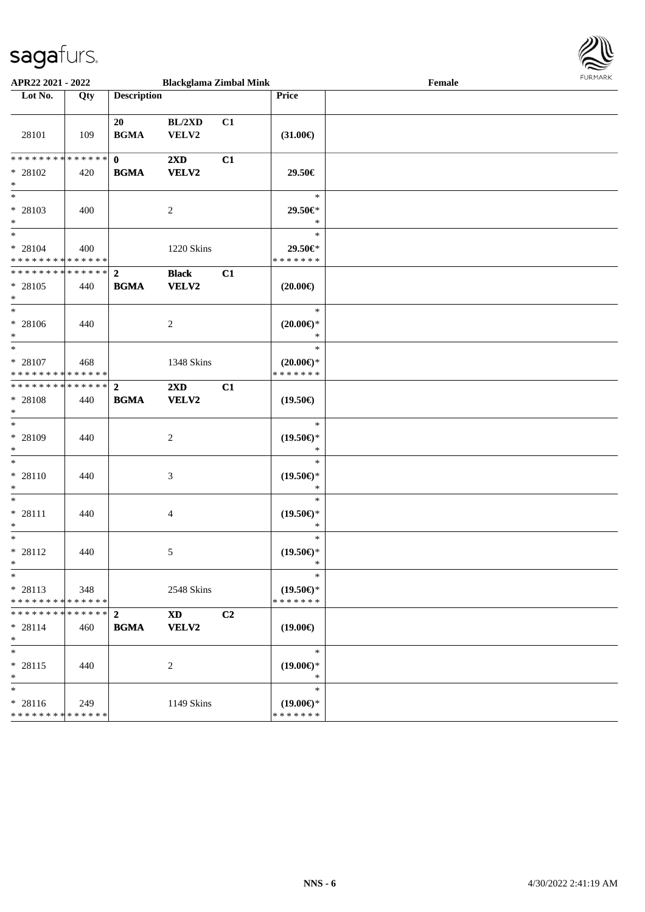

| APR22 2021 - 2022                                  |                    |                             | <b>Blackglama Zimbal Mink</b> |    |                                                | Female | 1.911171777 |
|----------------------------------------------------|--------------------|-----------------------------|-------------------------------|----|------------------------------------------------|--------|-------------|
| Lot No.                                            | Qty                | <b>Description</b>          |                               |    | Price                                          |        |             |
| 28101                                              | 109                | 20<br><b>BGMA</b>           | BL/2XD<br>${\bf VELV2}$       | C1 | $(31.00\epsilon)$                              |        |             |
| * * * * * * * * * * * * * *<br>$* 28102$<br>$\ast$ | 420                | $\mathbf{0}$<br><b>BGMA</b> | 2XD<br>VELV2                  | C1 | 29.50€                                         |        |             |
| $\ast$<br>* 28103<br>$\ast$<br>$\ast$              | 400                |                             | 2                             |    | $\ast$<br>29.50€*<br>$\ast$                    |        |             |
| $* 28104$<br>* * * * * * * * * * * * * *           | 400                |                             | 1220 Skins                    |    | $\ast$<br>29.50€*<br>* * * * * * *             |        |             |
| **************<br>$* 28105$<br>$\ast$              | 440                | $\mathbf{2}$<br><b>BGMA</b> | <b>Black</b><br>VELV2         | C1 | $(20.00\epsilon)$                              |        |             |
| $\ast$<br>* 28106<br>$\ast$                        | 440                |                             | $\overline{c}$                |    | $\ast$<br>$(20.00\epsilon)$ *<br>$\ast$        |        |             |
| $\ast$<br>* 28107<br>* * * * * * * * * * * * * *   | 468                |                             | 1348 Skins                    |    | $\ast$<br>$(20.00\epsilon)$ *<br>* * * * * * * |        |             |
| * * * * * * * * * * * * * *<br>* 28108<br>$\ast$   | 440                | $\mathbf{2}$<br><b>BGMA</b> | 2XD<br>VELV2                  | C1 | $(19.50\epsilon)$                              |        |             |
| $\ast$<br>* 28109<br>$\ast$                        | 440                |                             | $\overline{c}$                |    | $\ast$<br>$(19.50\epsilon)$ *<br>∗             |        |             |
| $\ast$<br>$* 28110$<br>$\ast$                      | 440                |                             | 3                             |    | $\ast$<br>$(19.50\epsilon)$ *<br>$\ast$        |        |             |
| $\ast$<br>$* 28111$<br>$\ast$                      | 440                |                             | 4                             |    | $\ast$<br>$(19.50\epsilon)$ *<br>$\ast$        |        |             |
| $\ast$<br>$* 28112$<br>$*$                         | 440                |                             | 5                             |    | $\ast$<br>$(19.50\epsilon)$ *<br>$\ast$        |        |             |
| $\ast$<br>$* 28113$<br>* * * * * * * *             | 348<br>******      |                             | 2548 Skins                    |    | $\ast$<br>$(19.50\epsilon)$ *<br>* * * * * * * |        |             |
| * * * * * * * *<br>$* 28114$<br>$\ast$             | * * * * * *<br>460 | $\mathbf{2}$<br><b>BGMA</b> | <b>XD</b><br>VELV2            | C2 | $(19.00\epsilon)$                              |        |             |
| $\ast$<br>$* 28115$<br>$\ast$                      | 440                |                             | 2                             |    | $\ast$<br>$(19.00\epsilon)$ *<br>$\ast$        |        |             |
| $\ast$<br>* 28116<br>* * * * * * * * * * * * * *   | 249                |                             | 1149 Skins                    |    | $\ast$<br>$(19.00\epsilon)$ *<br>* * * * * * * |        |             |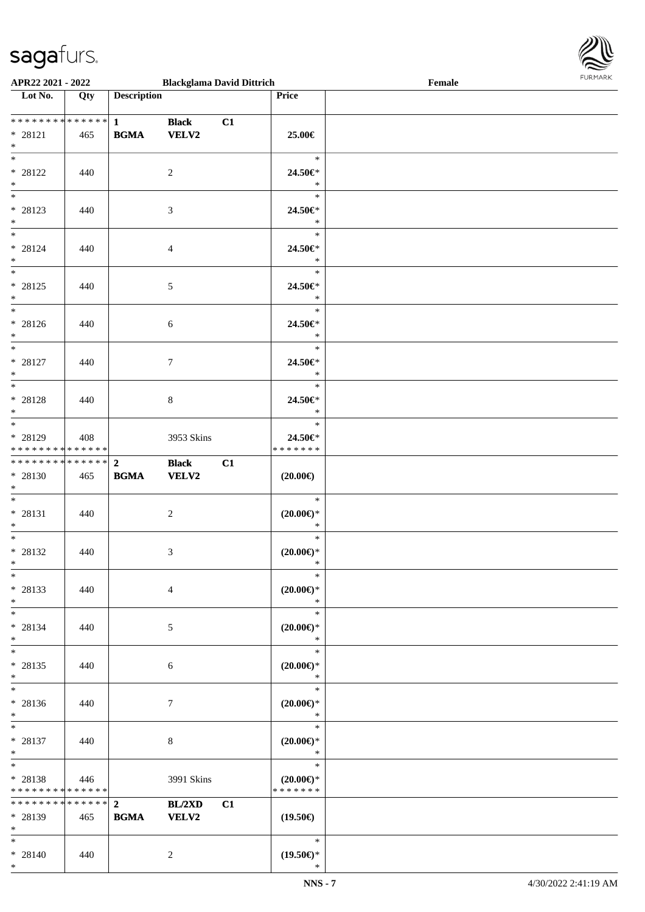

| APR22 2021 - 2022                                                        |     |                                            | <b>Blackglama David Dittrich</b> |    |                                         | Female |  |
|--------------------------------------------------------------------------|-----|--------------------------------------------|----------------------------------|----|-----------------------------------------|--------|--|
| Lot No.                                                                  | Qty | <b>Description</b>                         |                                  |    | Price                                   |        |  |
| **************<br>$* 28121$<br>$*$                                       | 465 | $\mathbf{1}$<br><b>BGMA</b>                | <b>Black</b><br>VELV2            | C1 | 25.00€                                  |        |  |
| $*$<br>* 28122<br>$*$                                                    | 440 |                                            | 2                                |    | $\ast$<br>24.50€*<br>$\ast$             |        |  |
| * 28123<br>$*$                                                           | 440 |                                            | 3                                |    | $\ast$<br>24.50€*<br>$\ast$             |        |  |
| $* 28124$<br>$*$                                                         | 440 |                                            | $\overline{4}$                   |    | $\ast$<br>24.50€*<br>$\ast$             |        |  |
| $* 28125$<br>$*$<br>$\overline{\phantom{0}}$                             | 440 |                                            | $5\,$                            |    | $\ast$<br>24.50€*<br>$\ast$             |        |  |
| * 28126<br>$*$<br>$\overline{\phantom{0}}$                               | 440 |                                            | 6                                |    | $\ast$<br>24.50€*<br>$\ast$             |        |  |
| $* 28127$<br>$*$                                                         | 440 |                                            | $\tau$                           |    | $\ast$<br>24.50€*<br>$\ast$<br>$\ast$   |        |  |
| $* 28128$<br>$*$<br>$*$                                                  | 440 |                                            | $8\,$                            |    | 24.50€*<br>$\ast$<br>$\ast$             |        |  |
| * 28129<br>******** <mark>******</mark><br>* * * * * * * * * * * * * * * | 408 | $\overline{2}$                             | 3953 Skins                       |    | 24.50€*<br>* * * * * * *                |        |  |
| $* 28130$<br>$*$ $-$<br>$*$                                              | 465 | $\mathbf{B}\mathbf{G}\mathbf{M}\mathbf{A}$ | <b>Black</b><br>VELV2            | C1 | $(20.00\epsilon)$<br>$\ast$             |        |  |
| * 28131<br>$*$<br>$*$                                                    | 440 |                                            | $\boldsymbol{2}$                 |    | $(20.00\epsilon)$ *<br>$\ast$<br>$\ast$ |        |  |
| * 28132<br>$*$<br>$\ast$                                                 | 440 |                                            | 3                                |    | $(20.00\epsilon)$ *<br>$\ast$<br>$\ast$ |        |  |
| $* 28133$<br>$\ast$<br>$\overline{\ast}$                                 | 440 |                                            | $\overline{4}$                   |    | $(20.00\epsilon)$ *<br>$\ast$<br>$\ast$ |        |  |
| $* 28134$<br>$*$<br>$*$                                                  | 440 |                                            | 5                                |    | $(20.00\epsilon)$ *<br>$\ast$<br>$\ast$ |        |  |
| * 28135<br>$*$<br>$\ast$                                                 | 440 |                                            | 6                                |    | $(20.00\epsilon)$ *<br>$\ast$<br>$\ast$ |        |  |
| * 28136<br>$*$<br>$*$                                                    | 440 |                                            | 7                                |    | $(20.00\epsilon)$ *<br>$\ast$<br>$\ast$ |        |  |
| * 28137<br>$*$<br>$*$                                                    | 440 |                                            | 8                                |    | $(20.00\epsilon)$ *<br>$\ast$<br>$\ast$ |        |  |
| * 28138<br>* * * * * * * * * * * * * *<br>******** <mark>******</mark>   | 446 | $\mathbf{2}$                               | 3991 Skins<br>BL/2XD             | C1 | $(20.00\epsilon)$ *<br>* * * * * * *    |        |  |
| * 28139<br>$*$<br>$*$                                                    | 465 | <b>BGMA</b>                                | <b>VELV2</b>                     |    | $(19.50\epsilon)$<br>$\ast$             |        |  |
| * 28140<br>$*$                                                           | 440 |                                            | 2                                |    | $(19.50\epsilon)$ *<br>$\ast$           |        |  |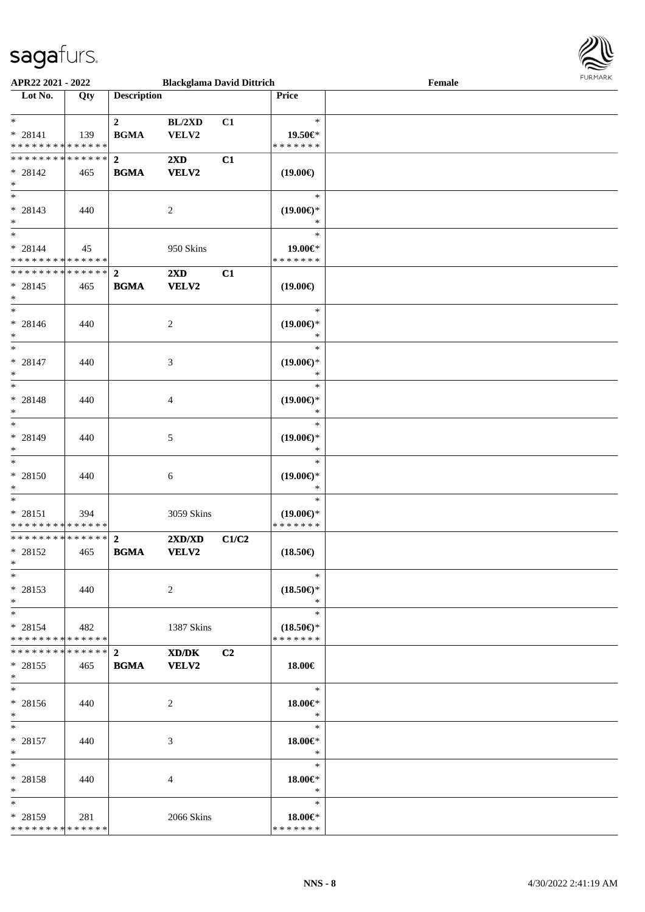

| APR22 2021 - 2022             |                   |                    | <b>Blackglama David Dittrich</b> |                |                               | Female |
|-------------------------------|-------------------|--------------------|----------------------------------|----------------|-------------------------------|--------|
| Lot No.                       | $\overline{Q}$ ty | <b>Description</b> |                                  |                | Price                         |        |
|                               |                   |                    |                                  |                |                               |        |
| $\ast$                        |                   | $\overline{2}$     | BL/2XD                           | C1             | $\ast$                        |        |
| $* 28141$                     | 139               | <b>BGMA</b>        | VELV2                            |                | 19.50€*                       |        |
| * * * * * * * * * * * * * *   |                   |                    |                                  |                | * * * * * * *                 |        |
| * * * * * * * * * * * * * *   |                   | $\overline{2}$     | $2\mathbf{X}\mathbf{D}$          | C1             |                               |        |
| $* 28142$                     |                   |                    |                                  |                |                               |        |
| $\ast$                        | 465               | <b>BGMA</b>        | <b>VELV2</b>                     |                | $(19.00\epsilon)$             |        |
| $\overline{\phantom{0}}$      |                   |                    |                                  |                |                               |        |
|                               |                   |                    |                                  |                | $\ast$                        |        |
| $* 28143$                     | 440               |                    | $\overline{2}$                   |                | $(19.00\epsilon)$ *           |        |
| $*$                           |                   |                    |                                  |                | $\ast$                        |        |
| $*$                           |                   |                    |                                  |                | $\ast$                        |        |
| $* 28144$                     | 45                |                    | 950 Skins                        |                | 19.00€*                       |        |
| * * * * * * * * * * * * * *   |                   |                    |                                  |                | * * * * * * *                 |        |
| * * * * * * * * * * * * * *   |                   | $\overline{2}$     | $2\mathbf{X}\mathbf{D}$          | C1             |                               |        |
| $* 28145$                     | 465               | <b>BGMA</b>        | <b>VELV2</b>                     |                | $(19.00\epsilon)$             |        |
| $\ast$                        |                   |                    |                                  |                |                               |        |
| $\overline{\phantom{1}}$      |                   |                    |                                  |                | $\ast$                        |        |
| $* 28146$                     | 440               |                    | 2                                |                | $(19.00\epsilon)$ *           |        |
| $\ast$                        |                   |                    |                                  |                | $\ast$                        |        |
| $_{\ast}$                     |                   |                    |                                  |                | $\ast$                        |        |
| $* 28147$                     | 440               |                    | $\mathfrak{Z}$                   |                | $(19.00\epsilon)$ *           |        |
| $\ast$                        |                   |                    |                                  |                | $\ast$                        |        |
| $\ast$                        |                   |                    |                                  |                | $\ast$                        |        |
|                               |                   |                    |                                  |                |                               |        |
| * 28148<br>$\ast$             | 440               |                    | $\overline{4}$                   |                | $(19.00\epsilon)$ *<br>$\ast$ |        |
| $\ast$                        |                   |                    |                                  |                | $\ast$                        |        |
|                               |                   |                    |                                  |                |                               |        |
| * 28149                       | 440               |                    | 5                                |                | $(19.00\epsilon)$ *           |        |
| $\ast$                        |                   |                    |                                  |                | $\ast$                        |        |
| $\ast$                        |                   |                    |                                  |                | $\ast$                        |        |
| * 28150                       | 440               |                    | 6                                |                | $(19.00\epsilon)$ *           |        |
| $\ast$                        |                   |                    |                                  |                | $\ast$                        |        |
| $\ast$                        |                   |                    |                                  |                | $\ast$                        |        |
| $* 28151$                     | 394               |                    | 3059 Skins                       |                | $(19.00\epsilon)$ *           |        |
| ******** <mark>******</mark>  |                   |                    |                                  |                | * * * * * * *                 |        |
| ******** <mark>******</mark>  |                   | $\overline{2}$     | 2XD/XD                           | C1/C2          |                               |        |
| $* 28152$                     | 465               | <b>BGMA</b>        | <b>VELV2</b>                     |                | $(18.50\epsilon)$             |        |
| $*$                           |                   |                    |                                  |                |                               |        |
| $*$                           |                   |                    |                                  |                | $\ast$                        |        |
| $* 28153$                     | 440               |                    | 2                                |                | $(18.50\epsilon)$ *           |        |
| $\ast$                        |                   |                    |                                  |                | $\ast$                        |        |
| $*$                           |                   |                    |                                  |                | $\ast$                        |        |
| $* 28154$                     | 482               |                    | 1387 Skins                       |                | $(18.50\epsilon)$ *           |        |
| * * * * * * * * * * * * * *   |                   |                    |                                  |                | * * * * * * *                 |        |
| * * * * * * * * * * * * * * * |                   | $\mathbf{2}$       | XD/DK                            | C <sub>2</sub> |                               |        |
| $* 28155$                     | 465               | <b>BGMA</b>        | VELV2                            |                | 18.00€                        |        |
| $*$                           |                   |                    |                                  |                |                               |        |
| $*$                           |                   |                    |                                  |                | $\ast$                        |        |
|                               |                   |                    |                                  |                |                               |        |
| * 28156                       | 440               |                    | 2                                |                | 18.00€*<br>$\ast$             |        |
| $*$<br>$*$                    |                   |                    |                                  |                | $\ast$                        |        |
|                               |                   |                    |                                  |                |                               |        |
| $* 28157$                     | 440               |                    | 3                                |                | $18.00 \in$ *                 |        |
| $*$                           |                   |                    |                                  |                | $\ast$                        |        |
| $\ast$                        |                   |                    |                                  |                | $\ast$                        |        |
| * 28158                       | 440               |                    | 4                                |                | 18.00€*                       |        |
| $*$                           |                   |                    |                                  |                | $\ast$                        |        |
| $\ast$                        |                   |                    |                                  |                | $\ast$                        |        |
| $* 28159$                     | 281               |                    | 2066 Skins                       |                | 18.00€*                       |        |
| * * * * * * * * * * * * * *   |                   |                    |                                  |                | * * * * * * *                 |        |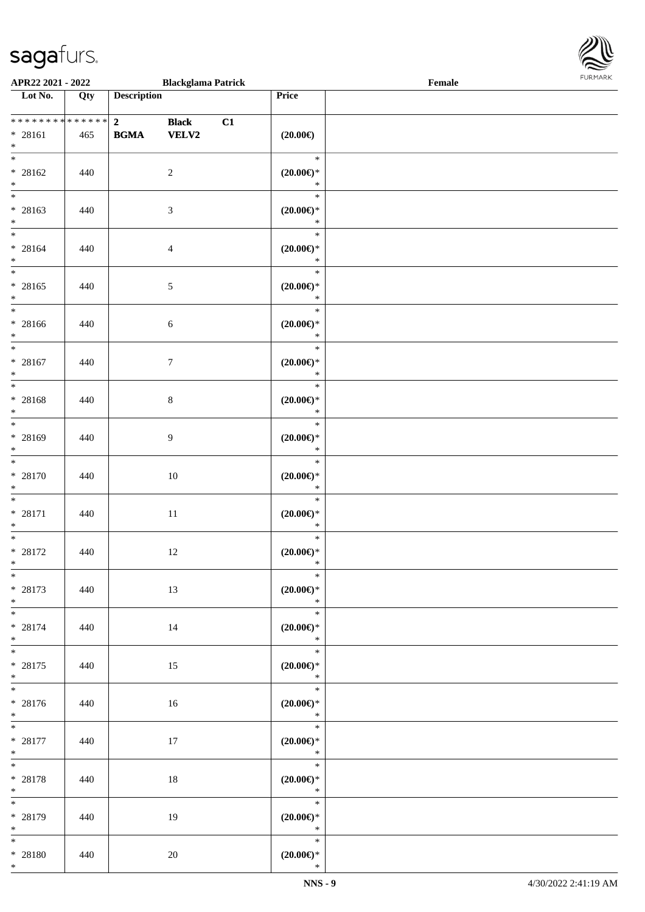

| APR22 2021 - 2022                                   |     |                               | <b>Blackglama Patrick</b>    |    |                                         | Female |  |
|-----------------------------------------------------|-----|-------------------------------|------------------------------|----|-----------------------------------------|--------|--|
| Lot No.                                             | Qty | <b>Description</b>            |                              |    | Price                                   |        |  |
| ******** <mark>******</mark><br>$* 28161$<br>$\ast$ | 465 | 2 <sub>1</sub><br><b>BGMA</b> | <b>Black</b><br><b>VELV2</b> | C1 | $(20.00\epsilon)$                       |        |  |
| $\overline{\ast}$<br>* 28162<br>$*$                 | 440 |                               | $\overline{2}$               |    | $\ast$<br>$(20.00\epsilon)$ *<br>$\ast$ |        |  |
| * 28163<br>$*$                                      | 440 |                               | $\mathfrak{Z}$               |    | $\ast$<br>$(20.00\epsilon)$ *<br>$\ast$ |        |  |
| $*$<br>$* 28164$<br>$*$                             | 440 |                               | $\overline{4}$               |    | $\ast$<br>$(20.00\epsilon)$ *<br>$\ast$ |        |  |
| $* 28165$<br>$*$                                    | 440 |                               | $5\,$                        |    | $\ast$<br>$(20.00\epsilon)$ *<br>$\ast$ |        |  |
| $\overline{\phantom{0}}$<br>$* 28166$<br>$*$        | 440 |                               | 6                            |    | $\ast$<br>$(20.00\epsilon)$ *<br>$\ast$ |        |  |
| $\overline{\ast}$<br>$* 28167$<br>$*$               | 440 |                               | $\overline{7}$               |    | $\ast$<br>$(20.00\epsilon)$ *<br>$\ast$ |        |  |
| * 28168<br>$\ast$                                   | 440 |                               | $8\,$                        |    | $\ast$<br>$(20.00\epsilon)$ *<br>$\ast$ |        |  |
| $\overline{\ast}$<br>* 28169<br>$*$                 | 440 |                               | 9                            |    | $\ast$<br>$(20.00\epsilon)$ *<br>$\ast$ |        |  |
| $*$<br>$* 28170$<br>$*$                             | 440 |                               | 10                           |    | $\ast$<br>$(20.00\epsilon)$ *<br>$\ast$ |        |  |
| $*$<br>$* 28171$<br>$*$                             | 440 |                               | $11\,$                       |    | $\ast$<br>$(20.00\in)\!\!^*$<br>$\ast$  |        |  |
| $*$<br>$* 28172$<br>$*$                             | 440 |                               | 12                           |    | $\ast$<br>$(20.00\epsilon)$ *<br>$\ast$ |        |  |
| $*$<br>$* 28173$<br>$*$                             | 440 |                               | 13                           |    | $\ast$<br>$(20.00\epsilon)$ *<br>$\ast$ |        |  |
| $*$<br>$* 28174$<br>$*$                             | 440 |                               | 14                           |    | $\ast$<br>$(20.00\epsilon)$ *<br>$\ast$ |        |  |
| $*$<br>$* 28175$<br>$*$ $-$                         | 440 |                               | 15                           |    | $\ast$<br>$(20.00\in)\!\!^*$<br>$\ast$  |        |  |
| * 28176<br>$*$ $*$                                  | 440 |                               | 16                           |    | $\ast$<br>$(20.00\epsilon)$ *<br>$\ast$ |        |  |
| $*$ and $*$<br>$* 28177$<br>$*$                     | 440 |                               | 17                           |    | $\ast$<br>$(20.00\epsilon)$ *<br>$\ast$ |        |  |
| $*$<br>$* 28178$<br>$*$                             | 440 |                               | 18                           |    | $\ast$<br>$(20.00\epsilon)$ *<br>$\ast$ |        |  |
| $*$<br>* 28179<br>$*$                               | 440 |                               | 19                           |    | $\ast$<br>$(20.00\epsilon)$ *<br>$\ast$ |        |  |
| $*$<br>$* 28180$<br>$*$                             | 440 |                               | $20\,$                       |    | $\ast$<br>$(20.00\epsilon)$ *<br>$\ast$ |        |  |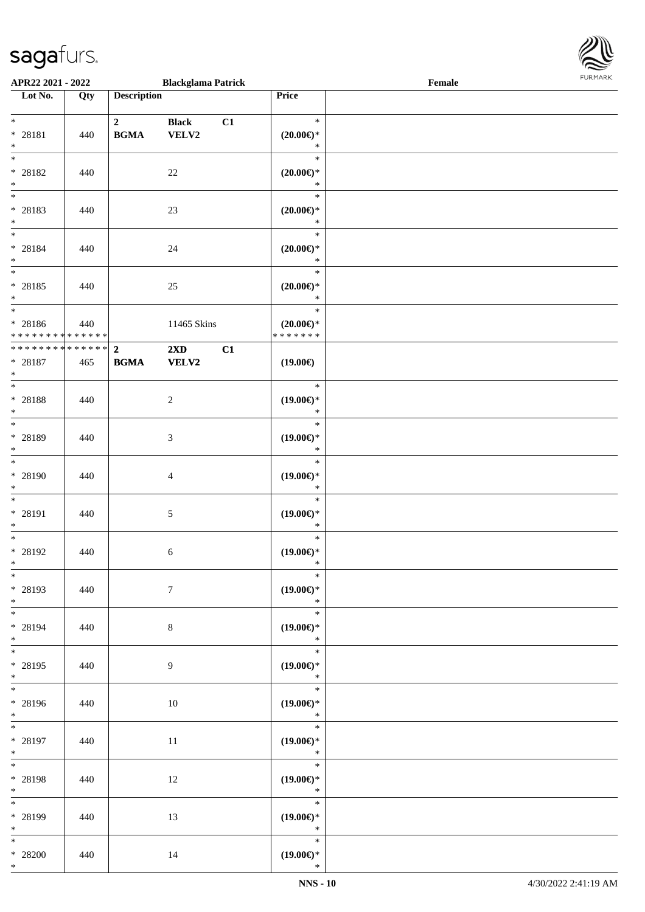